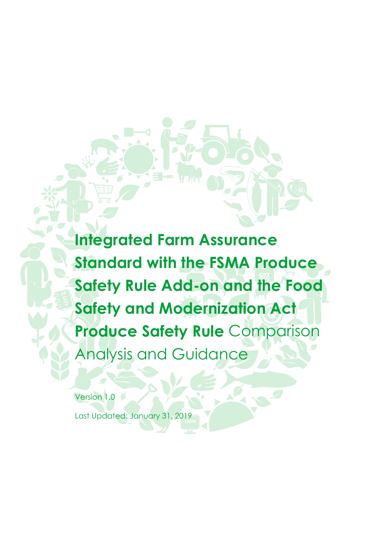**Integrated Farm Assurance Standard with the FSMA Produce Safety Rule Add-on and the Food Safety and Modernization Act Produce Safety Rule** Comparison Analysis and Guidance

Version 1.0

Last Updated: January 31, 2019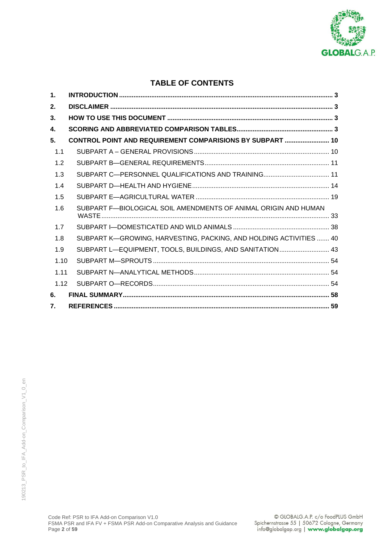

# **TABLE OF CONTENTS**

| 1.   |                                                                    |  |
|------|--------------------------------------------------------------------|--|
| 2.   |                                                                    |  |
| 3.   |                                                                    |  |
| 4.   |                                                                    |  |
| 5.   | CONTROL POINT AND REQUIREMENT COMPARISIONS BY SUBPART  10          |  |
| 1.1  |                                                                    |  |
| 1.2  |                                                                    |  |
| 1.3  |                                                                    |  |
| 1.4  |                                                                    |  |
| 1.5  |                                                                    |  |
| 1.6  | SUBPART F-BIOLOGICAL SOIL AMENDMENTS OF ANIMAL ORIGIN AND HUMAN    |  |
| 1.7  |                                                                    |  |
| 1.8  | SUBPART K-GROWING, HARVESTING, PACKING, AND HOLDING ACTIVITIES  40 |  |
| 1.9  | SUBPART L-EQUIPMENT, TOOLS, BUILDINGS, AND SANITATION 43           |  |
| 1.10 |                                                                    |  |
| 1.11 |                                                                    |  |
| 1.12 |                                                                    |  |
| 6.   |                                                                    |  |
| 7.   |                                                                    |  |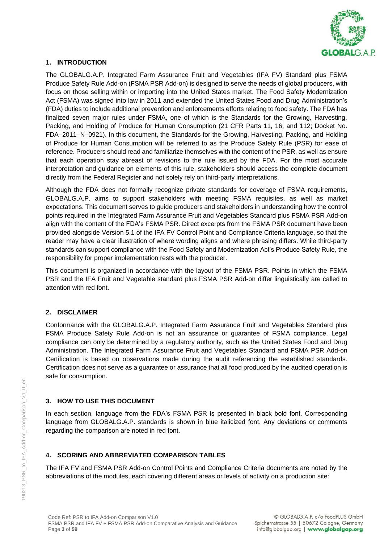

### **1. INTRODUCTION**

The GLOBALG.A.P. Integrated Farm Assurance Fruit and Vegetables (IFA FV) Standard plus FSMA Produce Safety Rule Add-on (FSMA PSR Add-on) is designed to serve the needs of global producers, with focus on those selling within or importing into the United States market. The Food Safety Modernization Act (FSMA) was signed into law in 2011 and extended the United States Food and Drug Administration's (FDA) duties to include additional prevention and enforcements efforts relating to food safety. The FDA has finalized seven major rules under FSMA, one of which is the Standards for the Growing, Harvesting, Packing, and Holding of Produce for Human Consumption (21 CFR Parts 11, 16, and 112; Docket No. FDA–2011–N–0921). In this document, the Standards for the Growing, Harvesting, Packing, and Holding of Produce for Human Consumption will be referred to as the Produce Safety Rule (PSR) for ease of reference. Producers should read and familiarize themselves with the content of the PSR, as well as ensure that each operation stay abreast of revisions to the rule issued by the FDA. For the most accurate interpretation and guidance on elements of this rule, stakeholders should access the complete document directly from the Federal Register and not solely rely on third-party interpretations.

Although the FDA does not formally recognize private standards for coverage of FSMA requirements, GLOBALG.A.P. aims to support stakeholders with meeting FSMA requisites, as well as market expectations. This document serves to guide producers and stakeholders in understanding how the control points required in the Integrated Farm Assurance Fruit and Vegetables Standard plus FSMA PSR Add-on align with the content of the FDA's FSMA PSR. Direct excerpts from the FSMA PSR document have been provided alongside Version 5.1 of the IFA FV Control Point and Compliance Criteria language, so that the reader may have a clear illustration of where wording aligns and where phrasing differs. While third-party standards can support compliance with the Food Safety and Modernization Act's Produce Safety Rule, the responsibility for proper implementation rests with the producer.

This document is organized in accordance with the layout of the FSMA PSR. Points in which the FSMA PSR and the IFA Fruit and Vegetable standard plus FSMA PSR Add-on differ linguistically are called to attention with red font.

# **2. DISCLAIMER**

Conformance with the GLOBALG.A.P. Integrated Farm Assurance Fruit and Vegetables Standard plus FSMA Produce Safety Rule Add-on is not an assurance or guarantee of FSMA compliance. Legal compliance can only be determined by a regulatory authority, such as the United States Food and Drug Administration. The Integrated Farm Assurance Fruit and Vegetables Standard and FSMA PSR Add-on Certification is based on observations made during the audit referencing the established standards. Certification does not serve as a guarantee or assurance that all food produced by the audited operation is safe for consumption.

# **3. HOW TO USE THIS DOCUMENT**

In each section, language from the FDA's FSMA PSR is presented in black bold font. Corresponding language from GLOBALG.A.P. standards is shown in blue italicized font. Any deviations or comments regarding the comparison are noted in red font.

# **4. SCORING AND ABBREVIATED COMPARISON TABLES**

The IFA FV and FSMA PSR Add-on Control Points and Compliance Criteria documents are noted by the abbreviations of the modules, each covering different areas or levels of activity on a production site: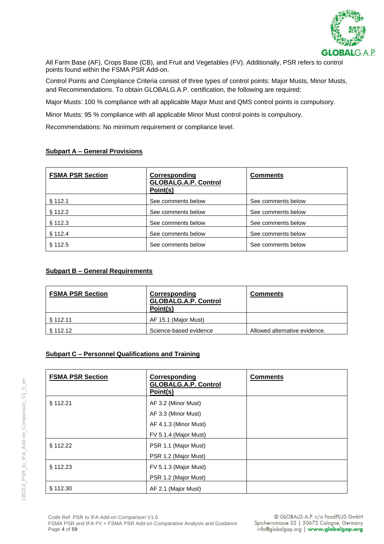

All Farm Base (AF), Crops Base (CB), and Fruit and Vegetables (FV). Additionally, PSR refers to control points found within the FSMA PSR Add-on.

Control Points and Compliance Criteria consist of three types of control points: Major Musts, Minor Musts, and Recommendations. To obtain GLOBALG.A.P. certification, the following are required:

Major Musts: 100 % compliance with all applicable Major Must and QMS control points is compulsory.

Minor Musts: 95 % compliance with all applicable Minor Must control points is compulsory.

Recommendations: No minimum requirement or compliance level.

### **Subpart A – General Provisions**

| <b>FSMA PSR Section</b> | Corresponding<br><b>GLOBALG.A.P. Control</b><br>Point(s) | <b>Comments</b>    |
|-------------------------|----------------------------------------------------------|--------------------|
| § 112.1                 | See comments below                                       | See comments below |
| § 112.2                 | See comments below                                       | See comments below |
| § 112.3                 | See comments below                                       | See comments below |
| § 112.4                 | See comments below                                       | See comments below |
| \$112.5                 | See comments below                                       | See comments below |

# **Subpart B – General Requirements**

190213\_PSR\_to\_IFA\_Add-on\_Comparison\_V1\_0\_en

190213 PSR to IFA Add-on Comparison V1 0 en

| <b>FSMA PSR Section</b> | Corresponding<br><b>GLOBALG.A.P. Control</b><br>Point(s) | <b>Comments</b>               |
|-------------------------|----------------------------------------------------------|-------------------------------|
| \$112.11                | AF 15.1 (Major Must)                                     |                               |
| § 112.12                | Science-based evidence                                   | Allowed alternative evidence. |

### **Subpart C – Personnel Qualifications and Training**

| <b>FSMA PSR Section</b> | <b>Corresponding</b><br><b>GLOBALG.A.P. Control</b><br>Point(s) | <b>Comments</b> |
|-------------------------|-----------------------------------------------------------------|-----------------|
| § 112.21                | AF 3.2 (Minor Must)                                             |                 |
|                         | AF 3.3 (Minor Must)                                             |                 |
|                         | AF 4.1.3 (Minor Must)                                           |                 |
|                         | FV 5.1.4 (Major Must)                                           |                 |
| § 112.22                | PSR 1.1 (Major Must)                                            |                 |
|                         | PSR 1.2 (Major Must)                                            |                 |
| § 112.23                | FV 5.1.3 (Major Must)                                           |                 |
|                         | PSR 1.2 (Major Must)                                            |                 |
| \$112.30                | AF 2.1 (Major Must)                                             |                 |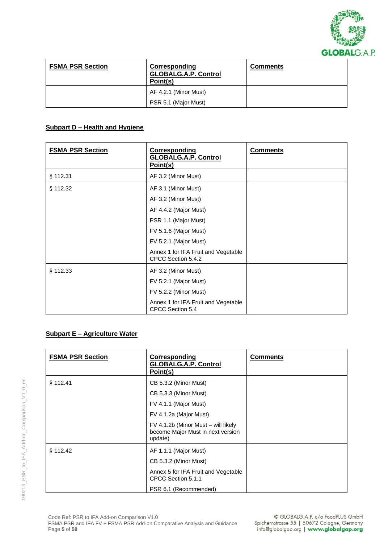

| <b>FSMA PSR Section</b> | Corresponding<br><b>GLOBALG.A.P. Control</b><br>Point(s) | <b>Comments</b> |
|-------------------------|----------------------------------------------------------|-----------------|
|                         | AF 4.2.1 (Minor Must)                                    |                 |
|                         | PSR 5.1 (Major Must)                                     |                 |

# **Subpart D – Health and Hygiene**

| <b>FSMA PSR Section</b> | <b>Corresponding</b><br><b>GLOBALG.A.P. Control</b><br>Point(s) | <b>Comments</b> |
|-------------------------|-----------------------------------------------------------------|-----------------|
| § 112.31                | AF 3.2 (Minor Must)                                             |                 |
| § 112.32                | AF 3.1 (Minor Must)                                             |                 |
|                         | AF 3.2 (Minor Must)                                             |                 |
|                         | AF 4.4.2 (Major Must)                                           |                 |
|                         | PSR 1.1 (Major Must)                                            |                 |
|                         | FV 5.1.6 (Major Must)                                           |                 |
|                         | FV 5.2.1 (Major Must)                                           |                 |
|                         | Annex 1 for IFA Fruit and Vegetable<br>CPCC Section 5.4.2       |                 |
| § 112.33                | AF 3.2 (Minor Must)                                             |                 |
|                         | FV 5.2.1 (Major Must)                                           |                 |
|                         | FV 5.2.2 (Minor Must)                                           |                 |
|                         | Annex 1 for IFA Fruit and Vegetable<br>CPCC Section 5.4         |                 |

### **Subpart E – Agriculture Water**

| <b>FSMA PSR Section</b> | Corresponding<br><b>GLOBALG.A.P. Control</b><br>Point(s)                            | <b>Comments</b> |
|-------------------------|-------------------------------------------------------------------------------------|-----------------|
| § 112.41                | CB 5.3.2 (Minor Must)                                                               |                 |
|                         | CB 5.3.3 (Minor Must)                                                               |                 |
|                         | FV 4.1.1 (Major Must)                                                               |                 |
|                         | FV 4.1.2a (Major Must)                                                              |                 |
|                         | FV 4.1.2b (Minor Must – will likely<br>become Major Must in next version<br>update) |                 |
| § 112.42                | AF 1.1.1 (Major Must)                                                               |                 |
|                         | CB 5.3.2 (Minor Must)                                                               |                 |
|                         | Annex 5 for IFA Fruit and Vegetable<br>CPCC Section 5.1.1                           |                 |
|                         | PSR 6.1 (Recommended)                                                               |                 |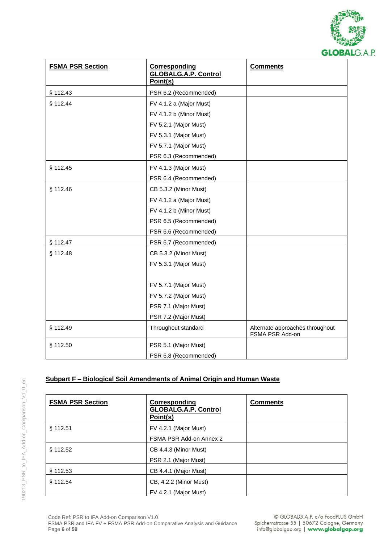

| <b>FSMA PSR Section</b> | <b>Corresponding</b><br><b>GLOBALG.A.P. Control</b><br>Point(s) | <b>Comments</b>                                    |
|-------------------------|-----------------------------------------------------------------|----------------------------------------------------|
| § 112.43                | PSR 6.2 (Recommended)                                           |                                                    |
| § 112.44                | FV 4.1.2 a (Major Must)                                         |                                                    |
|                         | FV 4.1.2 b (Minor Must)                                         |                                                    |
|                         | FV 5.2.1 (Major Must)                                           |                                                    |
|                         | FV 5.3.1 (Major Must)                                           |                                                    |
|                         | FV 5.7.1 (Major Must)                                           |                                                    |
|                         | PSR 6.3 (Recommended)                                           |                                                    |
| § 112.45                | FV 4.1.3 (Major Must)                                           |                                                    |
|                         | PSR 6.4 (Recommended)                                           |                                                    |
| § 112.46                | CB 5.3.2 (Minor Must)                                           |                                                    |
|                         | FV 4.1.2 a (Major Must)                                         |                                                    |
|                         | FV 4.1.2 b (Minor Must)                                         |                                                    |
|                         | PSR 6.5 (Recommended)                                           |                                                    |
|                         | PSR 6.6 (Recommended)                                           |                                                    |
| § 112.47                | PSR 6.7 (Recommended)                                           |                                                    |
| § 112.48                | CB 5.3.2 (Minor Must)                                           |                                                    |
|                         | FV 5.3.1 (Major Must)                                           |                                                    |
|                         |                                                                 |                                                    |
|                         | FV 5.7.1 (Major Must)                                           |                                                    |
|                         | FV 5.7.2 (Major Must)                                           |                                                    |
|                         | PSR 7.1 (Major Must)                                            |                                                    |
|                         | PSR 7.2 (Major Must)                                            |                                                    |
| § 112.49                | Throughout standard                                             | Alternate approaches throughout<br>FSMA PSR Add-on |
| § 112.50                | PSR 5.1 (Major Must)                                            |                                                    |
|                         | PSR 6.8 (Recommended)                                           |                                                    |

# **Subpart F – Biological Soil Amendments of Animal Origin and Human Waste**

| <b>FSMA PSR Section</b> | Corresponding<br><b>GLOBALG.A.P. Control</b><br>Point(s) | <b>Comments</b> |
|-------------------------|----------------------------------------------------------|-----------------|
| § 112.51                | FV 4.2.1 (Major Must)<br>FSMA PSR Add-on Annex 2         |                 |
| § 112.52                | CB 4.4.3 (Minor Must)<br>PSR 2.1 (Major Must)            |                 |
| § 112.53                | CB 4.4.1 (Major Must)                                    |                 |
| § 112.54                | CB, 4.2.2 (Minor Must)<br>FV 4.2.1 (Major Must)          |                 |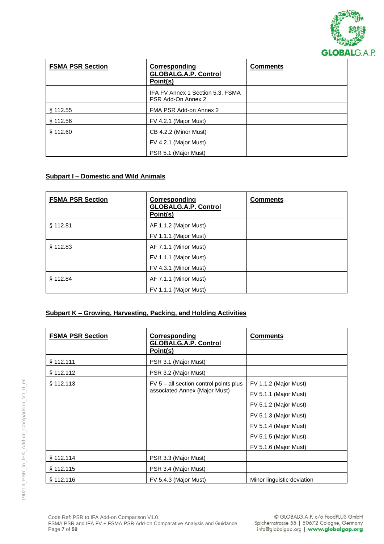

| <b>FSMA PSR Section</b> | Corresponding<br><b>GLOBALG.A.P. Control</b><br>Point(s) | <b>Comments</b> |
|-------------------------|----------------------------------------------------------|-----------------|
|                         | IFA FV Annex 1 Section 5.3, FSMA<br>PSR Add-On Annex 2   |                 |
| § 112.55                | FMA PSR Add-on Annex 2                                   |                 |
| § 112.56                | FV 4.2.1 (Major Must)                                    |                 |
| § 112.60                | CB 4.2.2 (Minor Must)                                    |                 |
|                         | FV 4.2.1 (Major Must)                                    |                 |
|                         | PSR 5.1 (Major Must)                                     |                 |

### **Subpart I – Domestic and Wild Animals**

| <b>FSMA PSR Section</b> | Corresponding<br><b>GLOBALG.A.P. Control</b><br>Point(s)                | <b>Comments</b> |
|-------------------------|-------------------------------------------------------------------------|-----------------|
| § 112.81                | AF 1.1.2 (Major Must)<br>FV 1.1.1 (Major Must)                          |                 |
| \$112.83                | AF 7.1.1 (Minor Must)<br>FV 1.1.1 (Major Must)<br>FV 4.3.1 (Minor Must) |                 |
| \$112.84                | AF 7.1.1 (Minor Must)<br>FV 1.1.1 (Major Must)                          |                 |

## **Subpart K – Growing, Harvesting, Packing, and Holding Activities**

| <b>FSMA PSR Section</b> | <b>Corresponding</b><br><b>GLOBALG.A.P. Control</b><br>Point(s)          | <b>Comments</b>            |
|-------------------------|--------------------------------------------------------------------------|----------------------------|
| § 112.111               | PSR 3.1 (Major Must)                                                     |                            |
| § 112.112               | PSR 3.2 (Major Must)                                                     |                            |
| § 112.113               | $FV_0 - aI$ section control points plus<br>associated Annex (Major Must) | FV 1.1.2 (Major Must)      |
|                         |                                                                          | FV 5.1.1 (Major Must)      |
|                         |                                                                          | FV 5.1.2 (Major Must)      |
|                         |                                                                          | FV 5.1.3 (Major Must)      |
|                         |                                                                          | FV 5.1.4 (Major Must)      |
|                         |                                                                          | FV 5.1.5 (Major Must)      |
|                         |                                                                          | FV 5.1.6 (Major Must)      |
| § 112.114               | PSR 3.3 (Major Must)                                                     |                            |
| § 112.115               | PSR 3.4 (Major Must)                                                     |                            |
| § 112.116               | FV 5.4.3 (Major Must)                                                    | Minor linguistic deviation |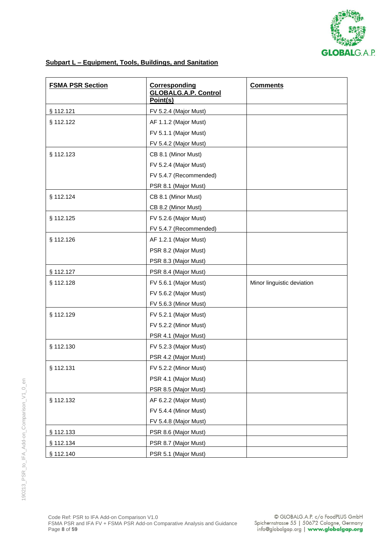

# **Subpart L – Equipment, Tools, Buildings, and Sanitation**

| <b>FSMA PSR Section</b> | <b>Corresponding</b><br><b>GLOBALG.A.P. Control</b><br>Point(s) | <b>Comments</b>            |
|-------------------------|-----------------------------------------------------------------|----------------------------|
| § 112.121               | FV 5.2.4 (Major Must)                                           |                            |
| § 112.122               | AF 1.1.2 (Major Must)                                           |                            |
|                         | FV 5.1.1 (Major Must)                                           |                            |
|                         | FV 5.4.2 (Major Must)                                           |                            |
| § 112.123               | CB 8.1 (Minor Must)                                             |                            |
|                         | FV 5.2.4 (Major Must)                                           |                            |
|                         | FV 5.4.7 (Recommended)                                          |                            |
|                         | PSR 8.1 (Major Must)                                            |                            |
| § 112.124               | CB 8.1 (Minor Must)                                             |                            |
|                         | CB 8.2 (Minor Must)                                             |                            |
| § 112.125               | FV 5.2.6 (Major Must)                                           |                            |
|                         | FV 5.4.7 (Recommended)                                          |                            |
| § 112.126               | AF 1.2.1 (Major Must)                                           |                            |
|                         | PSR 8.2 (Major Must)                                            |                            |
|                         | PSR 8.3 (Major Must)                                            |                            |
| § 112.127               | PSR 8.4 (Major Must)                                            |                            |
| § 112.128               | FV 5.6.1 (Major Must)                                           | Minor linguistic deviation |
|                         | FV 5.6.2 (Major Must)                                           |                            |
|                         | FV 5.6.3 (Minor Must)                                           |                            |
| § 112.129               | FV 5.2.1 (Major Must)                                           |                            |
|                         | FV 5.2.2 (Minor Must)                                           |                            |
|                         | PSR 4.1 (Major Must)                                            |                            |
| § 112.130               | FV 5.2.3 (Major Must)                                           |                            |
|                         | PSR 4.2 (Major Must)                                            |                            |
| § 112.131               | FV 5.2.2 (Minor Must)                                           |                            |
|                         | PSR 4.1 (Major Must)                                            |                            |
|                         | PSR 8.5 (Major Must)                                            |                            |
| § 112.132               | AF 6.2.2 (Major Must)                                           |                            |
|                         | FV 5.4.4 (Minor Must)                                           |                            |
|                         | FV 5.4.8 (Major Must)                                           |                            |
| § 112.133               | PSR 8.6 (Major Must)                                            |                            |
| § 112.134               | PSR 8.7 (Major Must)                                            |                            |
| § 112.140               | PSR 5.1 (Major Must)                                            |                            |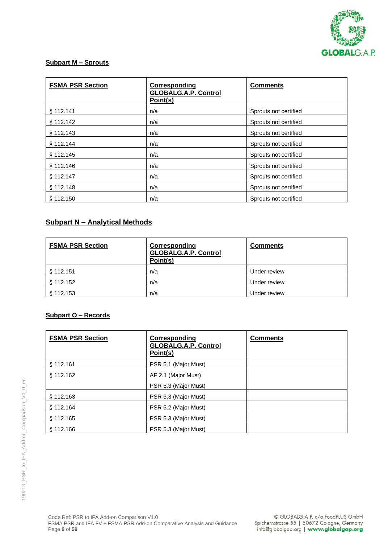

# **Subpart M – Sprouts**

| <b>FSMA PSR Section</b> | Corresponding<br><b>GLOBALG.A.P. Control</b><br>Point(s) | <b>Comments</b>       |
|-------------------------|----------------------------------------------------------|-----------------------|
| § 112.141               | n/a                                                      | Sprouts not certified |
| § 112.142               | n/a                                                      | Sprouts not certified |
| \$112.143               | n/a                                                      | Sprouts not certified |
| \$112.144               | n/a                                                      | Sprouts not certified |
| § 112.145               | n/a                                                      | Sprouts not certified |
| § 112.146               | n/a                                                      | Sprouts not certified |
| § 112.147               | n/a                                                      | Sprouts not certified |
| \$112.148               | n/a                                                      | Sprouts not certified |
| § 112.150               | n/a                                                      | Sprouts not certified |

# **Subpart N – Analytical Methods**

| <b>FSMA PSR Section</b> | Corresponding<br><b>GLOBALG.A.P. Control</b><br>Point(s) | <b>Comments</b> |
|-------------------------|----------------------------------------------------------|-----------------|
| § 112.151               | n/a                                                      | Under review    |
| § 112.152               | n/a                                                      | Under review    |
| § 112.153               | n/a                                                      | Under review    |

## **Subpart O – Records**

| <b>FSMA PSR Section</b> | Corresponding<br><b>GLOBALG.A.P. Control</b><br>Point(s) | <b>Comments</b> |
|-------------------------|----------------------------------------------------------|-----------------|
| § 112.161               | PSR 5.1 (Major Must)                                     |                 |
| § 112.162               | AF 2.1 (Major Must)                                      |                 |
|                         | PSR 5.3 (Major Must)                                     |                 |
| § 112.163               | PSR 5.3 (Major Must)                                     |                 |
| § 112.164               | PSR 5.2 (Major Must)                                     |                 |
| § 112.165               | PSR 5.3 (Major Must)                                     |                 |
| \$112.166               | PSR 5.3 (Major Must)                                     |                 |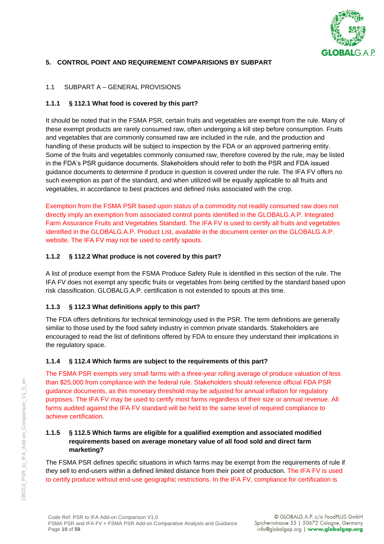

## **5. CONTROL POINT AND REQUIREMENT COMPARISIONS BY SUBPART**

### 1.1 SUBPART A – GENERAL PROVISIONS

### **1.1.1 § 112.1 What food is covered by this part?**

It should be noted that in the FSMA PSR, certain fruits and vegetables are exempt from the rule. Many of these exempt products are rarely consumed raw, often undergoing a kill step before consumption. Fruits and vegetables that are commonly consumed raw are included in the rule, and the production and handling of these products will be subject to inspection by the FDA or an approved partnering entity. Some of the fruits and vegetables commonly consumed raw, therefore covered by the rule, may be listed in the FDA's PSR guidance documents. Stakeholders should refer to both the PSR and FDA issued guidance documents to determine if produce in question is covered under the rule. The IFA FV offers no such exemption as part of the standard, and when utilized will be equally applicable to all fruits and vegetables, in accordance to best practices and defined risks associated with the crop.

Exemption from the FSMA PSR based upon status of a commodity not readily consumed raw does not directly imply an exemption from associated control points identified in the GLOBALG.A.P. Integrated Farm Assurance Fruits and Vegetables Standard. The IFA FV is used to certify all fruits and vegetables identified in the GLOBALG.A.P. Product List, available in the document center on the GLOBALG.A.P. website. The IFA FV may not be used to certify spouts.

### **1.1.2 § 112.2 What produce is not covered by this part?**

A list of produce exempt from the FSMA Produce Safety Rule is identified in this section of the rule. The IFA FV does not exempt any specific fruits or vegetables from being certified by the standard based upon risk classification. GLOBALG.A.P. certification is not extended to spouts at this time.

### **1.1.3 § 112.3 What definitions apply to this part?**

The FDA offers definitions for technical terminology used in the PSR. The term definitions are generally similar to those used by the food safety industry in common private standards. Stakeholders are encouraged to read the list of definitions offered by FDA to ensure they understand their implications in the regulatory space.

#### **1.1.4 § 112.4 Which farms are subject to the requirements of this part?**

The FSMA PSR exempts very small farms with a three-year rolling average of produce valuation of less than \$25,000 from compliance with the federal rule. Stakeholders should reference official FDA PSR guidance documents, as this monetary threshold may be adjusted for annual inflation for regulatory purposes. The IFA FV may be used to certify most farms regardless of their size or annual revenue. All farms audited against the IFA FV standard will be held to the same level of required compliance to achieve certification.

### **1.1.5 § 112.5 Which farms are eligible for a qualified exemption and associated modified requirements based on average monetary value of all food sold and direct farm marketing?**

The FSMA PSR defines specific situations in which farms may be exempt from the requirements of rule if they sell to end-users within a defined limited distance from their point of production. The IFA FV is used to certify produce without end-use geographic restrictions. In the IFA FV, compliance for certification is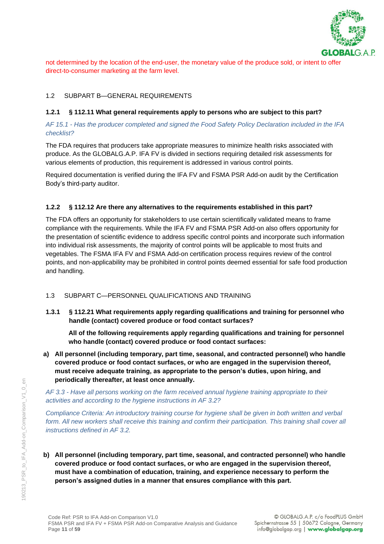

not determined by the location of the end-user, the monetary value of the produce sold, or intent to offer direct-to-consumer marketing at the farm level.

# 1.2 SUBPART B—GENERAL REQUIREMENTS

#### **1.2.1 § 112.11 What general requirements apply to persons who are subject to this part?**

### *AF 15.1 - Has the producer completed and signed the Food Safety Policy Declaration included in the IFA checklist?*

The FDA requires that producers take appropriate measures to minimize health risks associated with produce. As the GLOBALG.A.P. IFA FV is divided in sections requiring detailed risk assessments for various elements of production, this requirement is addressed in various control points.

Required documentation is verified during the IFA FV and FSMA PSR Add-on audit by the Certification Body's third-party auditor.

### **1.2.2 § 112.12 Are there any alternatives to the requirements established in this part?**

The FDA offers an opportunity for stakeholders to use certain scientifically validated means to frame compliance with the requirements. While the IFA FV and FSMA PSR Add-on also offers opportunity for the presentation of scientific evidence to address specific control points and incorporate such information into individual risk assessments, the majority of control points will be applicable to most fruits and vegetables. The FSMA IFA FV and FSMA Add-on certification process requires review of the control points, and non-applicability may be prohibited in control points deemed essential for safe food production and handling.

### 1.3 SUBPART C—PERSONNEL QUALIFICATIONS AND TRAINING

**1.3.1 § 112.21 What requirements apply regarding qualifications and training for personnel who handle (contact) covered produce or food contact surfaces?**

**All of the following requirements apply regarding qualifications and training for personnel who handle (contact) covered produce or food contact surfaces:**

**a) All personnel (including temporary, part time, seasonal, and contracted personnel) who handle covered produce or food contact surfaces, or who are engaged in the supervision thereof, must receive adequate training, as appropriate to the person's duties, upon hiring, and periodically thereafter, at least once annually.**

*AF 3.3 - Have all persons working on the farm received annual hygiene training appropriate to their activities and according to the hygiene instructions in AF 3.2?* 

*Compliance Criteria: An introductory training course for hygiene shall be given in both written and verbal form. All new workers shall receive this training and confirm their participation. This training shall cover all instructions defined in AF 3.2.*

**b) All personnel (including temporary, part time, seasonal, and contracted personnel) who handle covered produce or food contact surfaces, or who are engaged in the supervision thereof, must have a combination of education, training, and experience necessary to perform the person's assigned duties in a manner that ensures compliance with this part.**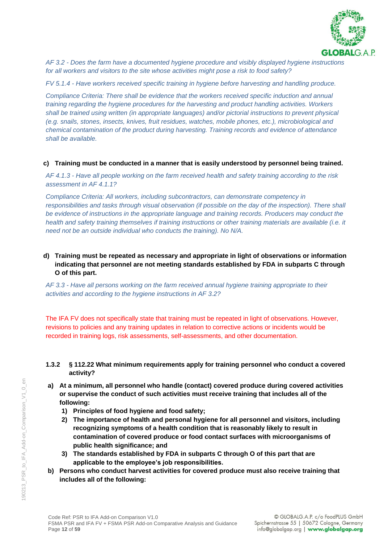

*AF 3.2 - Does the farm have a documented hygiene procedure and visibly displayed hygiene instructions for all workers and visitors to the site whose activities might pose a risk to food safety?* 

*FV 5.1.4 - Have workers received specific training in hygiene before harvesting and handling produce.* 

*Compliance Criteria: There shall be evidence that the workers received specific induction and annual training regarding the hygiene procedures for the harvesting and product handling activities. Workers shall be trained using written (in appropriate languages) and/or pictorial instructions to prevent physical (e.g. snails, stones, insects, knives, fruit residues, watches, mobile phones, etc.), microbiological and chemical contamination of the product during harvesting. Training records and evidence of attendance shall be available.*

### **c) Training must be conducted in a manner that is easily understood by personnel being trained.**

*AF 4.1.3 - Have all people working on the farm received health and safety training according to the risk assessment in AF 4.1.1?* 

*Compliance Criteria: All workers, including subcontractors, can demonstrate competency in responsibilities and tasks through visual observation (if possible on the day of the inspection). There shall be evidence of instructions in the appropriate language and training records. Producers may conduct the health and safety training themselves if training instructions or other training materials are available (i.e. it need not be an outside individual who conducts the training). No N/A.*

### **d) Training must be repeated as necessary and appropriate in light of observations or information indicating that personnel are not meeting standards established by FDA in subparts C through O of this part.**

*AF 3.3 - Have all persons working on the farm received annual hygiene training appropriate to their activities and according to the hygiene instructions in AF 3.2?*

The IFA FV does not specifically state that training must be repeated in light of observations. However, revisions to policies and any training updates in relation to corrective actions or incidents would be recorded in training logs, risk assessments, self-assessments, and other documentation.

### **1.3.2 § 112.22 What minimum requirements apply for training personnel who conduct a covered activity?**

- **a) At a minimum, all personnel who handle (contact) covered produce during covered activities or supervise the conduct of such activities must receive training that includes all of the following:**
	- **1) Principles of food hygiene and food safety;**
	- **2) The importance of health and personal hygiene for all personnel and visitors, including recognizing symptoms of a health condition that is reasonably likely to result in contamination of covered produce or food contact surfaces with microorganisms of public health significance; and**
	- **3) The standards established by FDA in subparts C through O of this part that are applicable to the employee's job responsibilities.**
- **b) Persons who conduct harvest activities for covered produce must also receive training that includes all of the following:**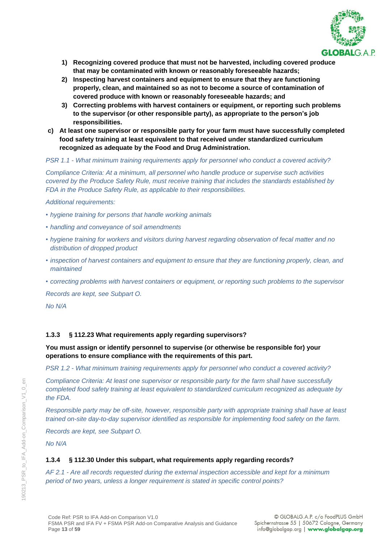

- **1) Recognizing covered produce that must not be harvested, including covered produce that may be contaminated with known or reasonably foreseeable hazards;**
- **2) Inspecting harvest containers and equipment to ensure that they are functioning properly, clean, and maintained so as not to become a source of contamination of covered produce with known or reasonably foreseeable hazards; and**
- **3) Correcting problems with harvest containers or equipment, or reporting such problems to the supervisor (or other responsible party), as appropriate to the person's job responsibilities.**
- **c) At least one supervisor or responsible party for your farm must have successfully completed food safety training at least equivalent to that received under standardized curriculum recognized as adequate by the Food and Drug Administration.**

*PSR 1.1 - What minimum training requirements apply for personnel who conduct a covered activity?*

*Compliance Criteria: At a minimum, all personnel who handle produce or supervise such activities covered by the Produce Safety Rule, must receive training that includes the standards established by FDA in the Produce Safety Rule, as applicable to their responsibilities.* 

*Additional requirements:*

- *• hygiene training for persons that handle working animals*
- *• handling and conveyance of soil amendments*
- *• hygiene training for workers and visitors during harvest regarding observation of fecal matter and no distribution of dropped product*
- *• inspection of harvest containers and equipment to ensure that they are functioning properly, clean, and maintained*
- *• correcting problems with harvest containers or equipment, or reporting such problems to the supervisor*

*Records are kept, see Subpart O.*

*No N/A*

### **1.3.3 § 112.23 What requirements apply regarding supervisors?**

**You must assign or identify personnel to supervise (or otherwise be responsible for) your operations to ensure compliance with the requirements of this part.**

*PSR 1.2 - What minimum training requirements apply for personnel who conduct a covered activity?*

*Compliance Criteria: At least one supervisor or responsible party for the farm shall have successfully completed food safety training at least equivalent to standardized curriculum recognized as adequate by the FDA.*

*Responsible party may be off-site, however, responsible party with appropriate training shall have at least trained on-site day-to-day supervisor identified as responsible for implementing food safety on the farm.*

*Records are kept, see Subpart O.*

*No N/A*

#### **1.3.4 § 112.30 Under this subpart, what requirements apply regarding records?**

*AF 2.1 - Are all records requested during the external inspection accessible and kept for a minimum period of two years, unless a longer requirement is stated in specific control points?*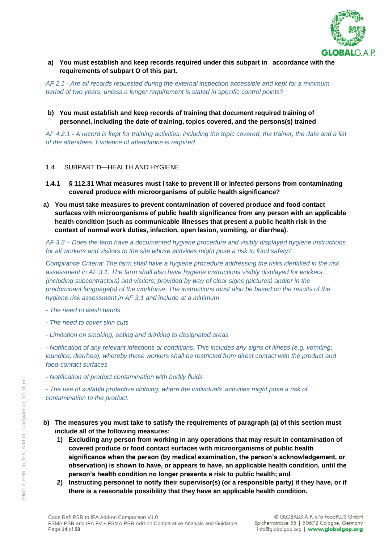

### **a) You must establish and keep records required under this subpart in accordance with the requirements of subpart O of this part.**

*AF 2.1 - Are all records requested during the external inspection accessible and kept for a minimum period of two years, unless a longer requirement is stated in specific control points?*

#### **b) You must establish and keep records of training that document required training of personnel, including the date of training, topics covered, and the persons(s) trained**

*AF 4.2.1 - A record is kept for training activities, including the topic covered, the trainer, the date and a list of the attendees. Evidence of attendance is required.*

#### 1.4 SUBPART D—HEALTH AND HYGIENE

- **1.4.1 § 112.31 What measures must I take to prevent ill or infected persons from contaminating covered produce with microorganisms of public health significance?**
- **a) You must take measures to prevent contamination of covered produce and food contact surfaces with microorganisms of public health significance from any person with an applicable health condition (such as communicable illnesses that present a public health risk in the context of normal work duties, infection, open lesion, vomiting, or diarrhea).**

*AF 3.2 – Does the farm have a documented hygiene procedure and visibly displayed hygiene instructions for all workers and visitors to the site whose activities might pose a risk to food safety?*

*Compliance Criteria: The farm shall have a hygiene procedure addressing the risks identified in the risk assessment in AF 3.1. The farm shall also have hygiene instructions visibly displayed for workers (including subcontractors) and visitors; provided by way of clear signs (pictures) and/or in the predominant language(s) of the workforce. The instructions must also be based on the results of the hygiene risk assessment in AF 3.1 and include at a minimum*

- *- The need to wash hands*
- *- The need to cover skin cuts*
- *- Limitation on smoking, eating and drinking to designated areas*

*- Notification of any relevant infections or conditions. This includes any signs of illness (e.g. vomiting; jaundice, diarrhea), whereby these workers shall be restricted from direct contact with the product and food-contact surfaces*

*- Notification of product contamination with bodily fluids*

*- The use of suitable protective clothing, where the individuals' activities might pose a risk of contamination to the product.*

- **b) The measures you must take to satisfy the requirements of paragraph (a) of this section must include all of the following measures:**
	- **1) Excluding any person from working in any operations that may result in contamination of covered produce or food contact surfaces with microorganisms of public health significance when the person (by medical examination, the person's acknowledgement, or observation) is shown to have, or appears to have, an applicable health condition, until the person's health condition no longer presents a risk to public health; and**
	- **2) Instructing personnel to notify their supervisor(s) (or a responsible party) if they have, or if there is a reasonable possibility that they have an applicable health condition.**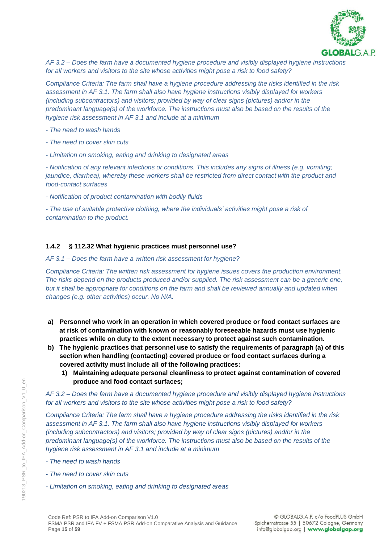

*AF 3.2 – Does the farm have a documented hygiene procedure and visibly displayed hygiene instructions for all workers and visitors to the site whose activities might pose a risk to food safety?*

*Compliance Criteria: The farm shall have a hygiene procedure addressing the risks identified in the risk assessment in AF 3.1. The farm shall also have hygiene instructions visibly displayed for workers (including subcontractors) and visitors; provided by way of clear signs (pictures) and/or in the predominant language(s) of the workforce. The instructions must also be based on the results of the hygiene risk assessment in AF 3.1 and include at a minimum*

- *- The need to wash hands*
- *- The need to cover skin cuts*
- *- Limitation on smoking, eating and drinking to designated areas*

*- Notification of any relevant infections or conditions. This includes any signs of illness (e.g. vomiting; jaundice, diarrhea), whereby these workers shall be restricted from direct contact with the product and food-contact surfaces*

*- Notification of product contamination with bodily fluids*

*- The use of suitable protective clothing, where the individuals' activities might pose a risk of contamination to the product.*

### **1.4.2 § 112.32 What hygienic practices must personnel use?**

#### *AF 3.1 – Does the farm have a written risk assessment for hygiene?*

*Compliance Criteria: The written risk assessment for hygiene issues covers the production environment. The risks depend on the products produced and/or supplied. The risk assessment can be a generic one,*  but it shall be appropriate for conditions on the farm and shall be reviewed annually and updated when *changes (e.g. other activities) occur. No N/A.*

- **a) Personnel who work in an operation in which covered produce or food contact surfaces are at risk of contamination with known or reasonably foreseeable hazards must use hygienic practices while on duty to the extent necessary to protect against such contamination.**
- **b) The hygienic practices that personnel use to satisfy the requirements of paragraph (a) of this section when handling (contacting) covered produce or food contact surfaces during a covered activity must include all of the following practices:**
	- **1) Maintaining adequate personal cleanliness to protect against contamination of covered produce and food contact surfaces;**

*AF 3.2 – Does the farm have a documented hygiene procedure and visibly displayed hygiene instructions for all workers and visitors to the site whose activities might pose a risk to food safety?*

*Compliance Criteria: The farm shall have a hygiene procedure addressing the risks identified in the risk assessment in AF 3.1. The farm shall also have hygiene instructions visibly displayed for workers (including subcontractors) and visitors; provided by way of clear signs (pictures) and/or in the predominant language(s) of the workforce. The instructions must also be based on the results of the hygiene risk assessment in AF 3.1 and include at a minimum*

- *- The need to wash hands*
- *- The need to cover skin cuts*
- *- Limitation on smoking, eating and drinking to designated areas*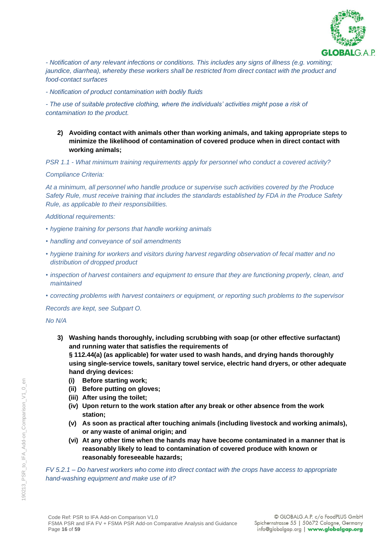

*- Notification of any relevant infections or conditions. This includes any signs of illness (e.g. vomiting; jaundice, diarrhea), whereby these workers shall be restricted from direct contact with the product and food-contact surfaces*

*- Notification of product contamination with bodily fluids*

*- The use of suitable protective clothing, where the individuals' activities might pose a risk of contamination to the product.*

**2) Avoiding contact with animals other than working animals, and taking appropriate steps to minimize the likelihood of contamination of covered produce when in direct contact with working animals;**

*PSR 1.1 - What minimum training requirements apply for personnel who conduct a covered activity?*

#### *Compliance Criteria:*

*At a minimum, all personnel who handle produce or supervise such activities covered by the Produce Safety Rule, must receive training that includes the standards established by FDA in the Produce Safety Rule, as applicable to their responsibilities.* 

*Additional requirements:*

- *• hygiene training for persons that handle working animals*
- *• handling and conveyance of soil amendments*
- *• hygiene training for workers and visitors during harvest regarding observation of fecal matter and no distribution of dropped product*
- *• inspection of harvest containers and equipment to ensure that they are functioning properly, clean, and maintained*
- *• correcting problems with harvest containers or equipment, or reporting such problems to the supervisor*

*Records are kept, see Subpart O.*

*No N/A*

- **3) Washing hands thoroughly, including scrubbing with soap (or other effective surfactant) and running water that satisfies the requirements of § 112.44(a) (as applicable) for water used to wash hands, and drying hands thoroughly using single-service towels, sanitary towel service, electric hand dryers, or other adequate** 
	- **hand drying devices:**
	- **(i) Before starting work;**
	- **(ii) Before putting on gloves;**
	- **(iii) After using the toilet;**
	- **(iv) Upon return to the work station after any break or other absence from the work station;**
	- **(v) As soon as practical after touching animals (including livestock and working animals), or any waste of animal origin; and**
	- **(vi) At any other time when the hands may have become contaminated in a manner that is reasonably likely to lead to contamination of covered produce with known or reasonably foreseeable hazards;**

*FV 5.2.1 – Do harvest workers who come into direct contact with the crops have access to appropriate hand-washing equipment and make use of it?*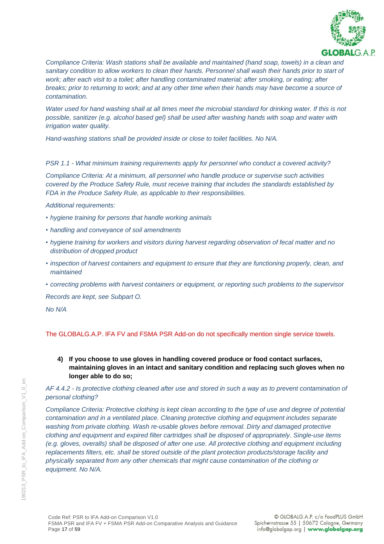

*Compliance Criteria: Wash stations shall be available and maintained (hand soap, towels) in a clean and sanitary condition to allow workers to clean their hands. Personnel shall wash their hands prior to start of work; after each visit to a toilet; after handling contaminated material; after smoking, or eating; after breaks; prior to returning to work; and at any other time when their hands may have become a source of contamination.* 

*Water used for hand washing shall at all times meet the microbial standard for drinking water. If this is not possible, sanitizer (e.g. alcohol based gel) shall be used after washing hands with soap and water with irrigation water quality.*

*Hand-washing stations shall be provided inside or close to toilet facilities. No N/A.*

*PSR 1.1 - What minimum training requirements apply for personnel who conduct a covered activity?*

*Compliance Criteria: At a minimum, all personnel who handle produce or supervise such activities covered by the Produce Safety Rule, must receive training that includes the standards established by FDA in the Produce Safety Rule, as applicable to their responsibilities.* 

#### *Additional requirements:*

- *• hygiene training for persons that handle working animals*
- *• handling and conveyance of soil amendments*
- *• hygiene training for workers and visitors during harvest regarding observation of fecal matter and no distribution of dropped product*
- *• inspection of harvest containers and equipment to ensure that they are functioning properly, clean, and maintained*
- *• correcting problems with harvest containers or equipment, or reporting such problems to the supervisor*

*Records are kept, see Subpart O.*

*No N/A*

### The GLOBALG.A.P. IFA FV and FSMA PSR Add-on do not specifically mention single service towels.

**4) If you choose to use gloves in handling covered produce or food contact surfaces, maintaining gloves in an intact and sanitary condition and replacing such gloves when no longer able to do so;**

*AF 4.4.2 - Is protective clothing cleaned after use and stored in such a way as to prevent contamination of personal clothing?*

*Compliance Criteria: Protective clothing is kept clean according to the type of use and degree of potential contamination and in a ventilated place. Cleaning protective clothing and equipment includes separate washing from private clothing. Wash re-usable gloves before removal. Dirty and damaged protective clothing and equipment and expired filter cartridges shall be disposed of appropriately. Single-use items (e.g. gloves, overalls) shall be disposed of after one use. All protective clothing and equipment including replacements filters, etc. shall be stored outside of the plant protection products/storage facility and physically separated from any other chemicals that might cause contamination of the clothing or equipment. No N/A.*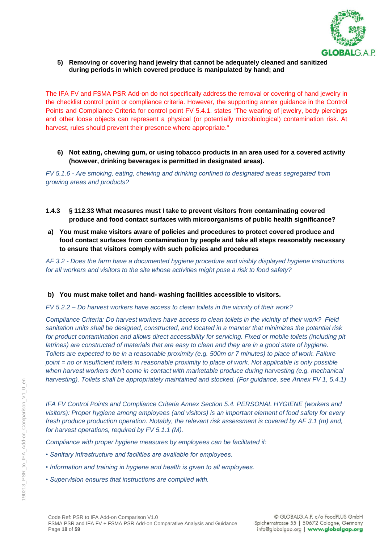

**5) Removing or covering hand jewelry that cannot be adequately cleaned and sanitized during periods in which covered produce is manipulated by hand; and**

The IFA FV and FSMA PSR Add-on do not specifically address the removal or covering of hand jewelry in the checklist control point or compliance criteria. However, the supporting annex guidance in the Control Points and Compliance Criteria for control point FV 5.4.1. states "The wearing of jewelry, body piercings and other loose objects can represent a physical (or potentially microbiological) contamination risk. At harvest, rules should prevent their presence where appropriate."

#### **6) Not eating, chewing gum, or using tobacco products in an area used for a covered activity (however, drinking beverages is permitted in designated areas).**

*FV 5.1.6 - Are smoking, eating, chewing and drinking confined to designated areas segregated from growing areas and products?*

- **1.4.3 § 112.33 What measures must I take to prevent visitors from contaminating covered produce and food contact surfaces with microorganisms of public health significance?**
- **a) You must make visitors aware of policies and procedures to protect covered produce and food contact surfaces from contamination by people and take all steps reasonably necessary to ensure that visitors comply with such policies and procedures**

*AF 3.2 - Does the farm have a documented hygiene procedure and visibly displayed hygiene instructions for all workers and visitors to the site whose activities might pose a risk to food safety?*

#### **b) You must make toilet and hand- washing facilities accessible to visitors.**

*FV 5.2.2 – Do harvest workers have access to clean toilets in the vicinity of their work?*

*Compliance Criteria: Do harvest workers have access to clean toilets in the vicinity of their work? Field sanitation units shall be designed, constructed, and located in a manner that minimizes the potential risk*  for product contamination and allows direct accessibility for servicing. Fixed or mobile toilets (including pit *latrines) are constructed of materials that are easy to clean and they are in a good state of hygiene. Toilets are expected to be in a reasonable proximity (e.g. 500m or 7 minutes) to place of work. Failure point = no or insufficient toilets in reasonable proximity to place of work. Not applicable is only possible when harvest workers don't come in contact with marketable produce during harvesting (e.g. mechanical harvesting). Toilets shall be appropriately maintained and stocked. (For guidance, see Annex FV 1, 5.4.1)*

*IFA FV Control Points and Compliance Criteria Annex Section 5.4. PERSONAL HYGIENE (workers and visitors): Proper hygiene among employees (and visitors) is an important element of food safety for every fresh produce production operation. Notably, the relevant risk assessment is covered by AF 3.1 (m) and, for harvest operations, required by FV 5.1.1 (M).*

*Compliance with proper hygiene measures by employees can be facilitated if:*

- *Sanitary infrastructure and facilities are available for employees.*
- *Information and training in hygiene and health is given to all employees.*
- *Supervision ensures that instructions are complied with.*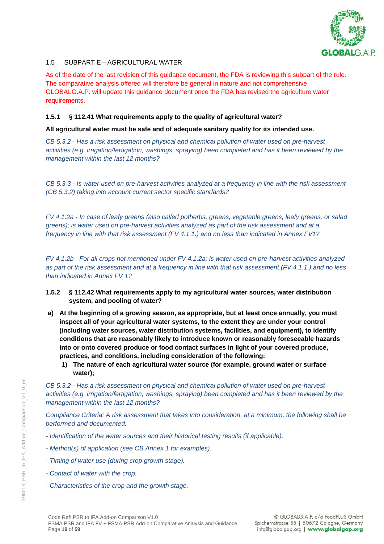

# 1.5 SUBPART F—AGRICULTURAL WATER

As of the date of the last revision of this guidance document, the FDA is reviewing this subpart of the rule. The comparative analysis offered will therefore be general in nature and not comprehensive. GLOBALG.A.P. will update this guidance document once the FDA has revised the agriculture water requirements.

### **1.5.1 § 112.41 What requirements apply to the quality of agricultural water?**

### **All agricultural water must be safe and of adequate sanitary quality for its intended use.**

*CB 5.3.2 - Has a risk assessment on physical and chemical pollution of water used on pre-harvest activities (e.g. irrigation/fertigation, washings, spraying) been completed and has it been reviewed by the management within the last 12 months?* 

*CB 5.3.3 - Is water used on pre-harvest activities analyzed at a frequency in line with the risk assessment (CB 5.3.2) taking into account current sector specific standards?*

*FV 4.1.2a - In case of leafy greens (also called potherbs, greens, vegetable greens, leafy greens, or salad greens); is water used on pre-harvest activities analyzed as part of the risk assessment and at a frequency in line with that risk assessment (FV 4.1.1.) and no less than indicated in Annex FV1?*

*FV 4.1.2b - For all crops not mentioned under FV 4.1.2a; is water used on pre-harvest activities analyzed as part of the risk assessment and at a frequency in line with that risk assessment (FV 4.1.1.) and no less than indicated in Annex FV 1?*

- **1.5.2 § 112.42 What requirements apply to my agricultural water sources, water distribution system, and pooling of water?**
- **a) At the beginning of a growing season, as appropriate, but at least once annually, you must inspect all of your agricultural water systems, to the extent they are under your control (including water sources, water distribution systems, facilities, and equipment), to identify conditions that are reasonably likely to introduce known or reasonably foreseeable hazards into or onto covered produce or food contact surfaces in light of your covered produce, practices, and conditions, including consideration of the following:**
	- **1) The nature of each agricultural water source (for example, ground water or surface water);**

*CB 5.3.2 - Has a risk assessment on physical and chemical pollution of water used on pre-harvest activities (e.g. irrigation/fertigation, washings, spraying) been completed and has it been reviewed by the management within the last 12 months?*

*Compliance Criteria: A risk assessment that takes into consideration, at a minimum, the following shall be performed and documented:*

- *- Identification of the water sources and their historical testing results (if applicable).*
- *- Method(s) of application (see CB Annex 1 for examples).*
- *- Timing of water use (during crop growth stage).*
- *- Contact of water with the crop.*
- *- Characteristics of the crop and the growth stage.*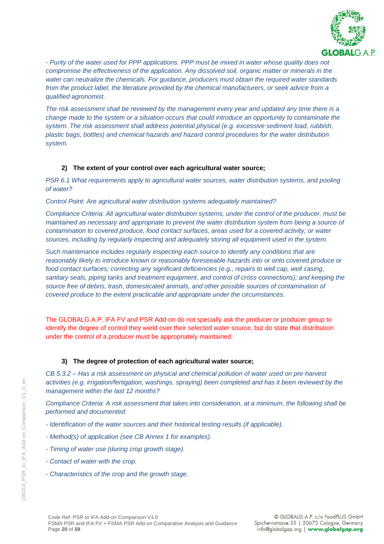

*- Purity of the water used for PPP applications. PPP must be mixed in water whose quality does not compromise the effectiveness of the application. Any dissolved soil, organic matter or minerals in the water can neutralize the chemicals. For guidance, producers must obtain the required water standards*  from the product label, the literature provided by the chemical manufacturers, or seek advice from a *qualified agronomist.*

*The risk assessment shall be reviewed by the management every year and updated any time there is a change made to the system or a situation occurs that could introduce an opportunity to contaminate the system. The risk assessment shall address potential physical (e.g. excessive sediment load, rubbish, plastic bags, bottles) and chemical hazards and hazard control procedures for the water distribution system.*

### **2) The extent of your control over each agricultural water source;**

*PSR 6.1 What requirements apply to agricultural water sources, water distribution systems, and pooling of water?*

#### *Control Point: Are agricultural water distribution systems adequately maintained?*

*Compliance Criteria: All agricultural water distribution systems, under the control of the producer, must be maintained as necessary and appropriate to prevent the water distribution system from being a source of contamination to covered produce, food contact surfaces, areas used for a covered activity, or water sources, including by regularly inspecting and adequately storing all equipment used in the system.*

*Such maintenance includes regularly inspecting each source to identify any conditions that are reasonably likely to introduce known or reasonably foreseeable hazards into or onto covered produce or food contact surfaces; correcting any significant deficiencies (e.g., repairs to well cap, well casing, sanitary seals, piping tanks and treatment equipment, and control of cross-connections); and keeping the source free of debris, trash, domesticated animals, and other possible sources of contamination of covered produce to the extent practicable and appropriate under the circumstances.*

The GLOBALG.A.P. IFA FV and PSR Add-on do not specially ask the producer or producer group to identify the degree of control they wield over their selected water source, but do state that distribution under the control of a producer must be appropriately maintained.

### **3) The degree of protection of each agricultural water source;**

*CB 5.3.2 – Has a risk assessment on physical and chemical pollution of water used on pre-harvest activities (e.g. irrigation/fertigation, washings, spraying) been completed and has it been reviewed by the management within the last 12 months?*

*Compliance Criteria: A risk assessment that takes into consideration, at a minimum, the following shall be performed and documented:*

- *- Identification of the water sources and their historical testing results (if applicable).*
- *- Method(s) of application (see CB Annex 1 for examples).*
- *- Timing of water use (during crop growth stage).*
- *- Contact of water with the crop.*
- *- Characteristics of the crop and the growth stage.*

 $\epsilon$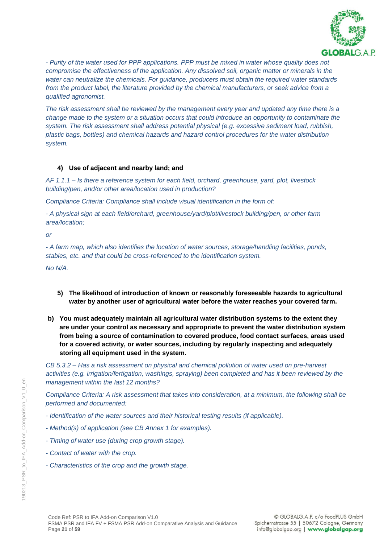

*- Purity of the water used for PPP applications. PPP must be mixed in water whose quality does not compromise the effectiveness of the application. Any dissolved soil, organic matter or minerals in the water can neutralize the chemicals. For guidance, producers must obtain the required water standards*  from the product label, the literature provided by the chemical manufacturers, or seek advice from a *qualified agronomist.*

*The risk assessment shall be reviewed by the management every year and updated any time there is a change made to the system or a situation occurs that could introduce an opportunity to contaminate the system. The risk assessment shall address potential physical (e.g. excessive sediment load, rubbish, plastic bags, bottles) and chemical hazards and hazard control procedures for the water distribution system.*

### **4) Use of adjacent and nearby land; and**

*AF 1.1.1 – Is there a reference system for each field, orchard, greenhouse, yard, plot, livestock building/pen, and/or other area/location used in production?*

*Compliance Criteria: Compliance shall include visual identification in the form of:*

*- A physical sign at each field/orchard, greenhouse/yard/plot/livestock building/pen, or other farm area/location;* 

*or* 

*- A farm map, which also identifies the location of water sources, storage/handling facilities, ponds, stables, etc. and that could be cross-referenced to the identification system.* 

*No N/A.*

- **5) The likelihood of introduction of known or reasonably foreseeable hazards to agricultural water by another user of agricultural water before the water reaches your covered farm.**
- **b) You must adequately maintain all agricultural water distribution systems to the extent they are under your control as necessary and appropriate to prevent the water distribution system from being a source of contamination to covered produce, food contact surfaces, areas used for a covered activity, or water sources, including by regularly inspecting and adequately storing all equipment used in the system.**

*CB 5.3.2 – Has a risk assessment on physical and chemical pollution of water used on pre-harvest activities (e.g. irrigation/fertigation, washings, spraying) been completed and has it been reviewed by the management within the last 12 months?*

*Compliance Criteria: A risk assessment that takes into consideration, at a minimum, the following shall be performed and documented:*

- *- Identification of the water sources and their historical testing results (if applicable).*
- *- Method(s) of application (see CB Annex 1 for examples).*
- *- Timing of water use (during crop growth stage).*
- *- Contact of water with the crop.*
- *- Characteristics of the crop and the growth stage.*

 $\infty$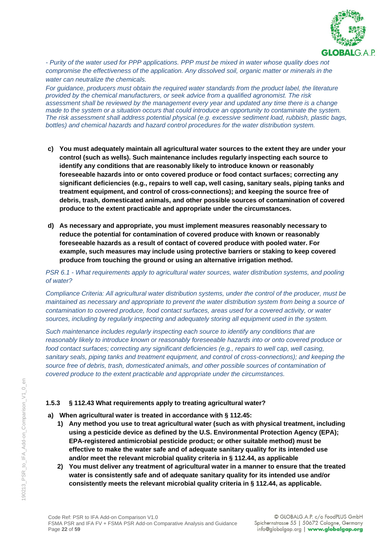

*- Purity of the water used for PPP applications. PPP must be mixed in water whose quality does not compromise the effectiveness of the application. Any dissolved soil, organic matter or minerals in the water can neutralize the chemicals.* 

*For guidance, producers must obtain the required water standards from the product label, the literature provided by the chemical manufacturers, or seek advice from a qualified agronomist. The risk assessment shall be reviewed by the management every year and updated any time there is a change made to the system or a situation occurs that could introduce an opportunity to contaminate the system. The risk assessment shall address potential physical (e.g. excessive sediment load, rubbish, plastic bags, bottles) and chemical hazards and hazard control procedures for the water distribution system.* 

- **c) You must adequately maintain all agricultural water sources to the extent they are under your control (such as wells). Such maintenance includes regularly inspecting each source to identify any conditions that are reasonably likely to introduce known or reasonably foreseeable hazards into or onto covered produce or food contact surfaces; correcting any significant deficiencies (e.g., repairs to well cap, well casing, sanitary seals, piping tanks and treatment equipment, and control of cross-connections); and keeping the source free of debris, trash, domesticated animals, and other possible sources of contamination of covered produce to the extent practicable and appropriate under the circumstances.**
- **d) As necessary and appropriate, you must implement measures reasonably necessary to reduce the potential for contamination of covered produce with known or reasonably foreseeable hazards as a result of contact of covered produce with pooled water. For example, such measures may include using protective barriers or staking to keep covered produce from touching the ground or using an alternative irrigation method.**

*PSR 6.1 - What requirements apply to agricultural water sources, water distribution systems, and pooling of water?*

*Compliance Criteria: All agricultural water distribution systems, under the control of the producer, must be maintained as necessary and appropriate to prevent the water distribution system from being a source of contamination to covered produce, food contact surfaces, areas used for a covered activity, or water sources, including by regularly inspecting and adequately storing all equipment used in the system.*

*Such maintenance includes regularly inspecting each source to identify any conditions that are reasonably likely to introduce known or reasonably foreseeable hazards into or onto covered produce or food contact surfaces; correcting any significant deficiencies (e.g., repairs to well cap, well casing, sanitary seals, piping tanks and treatment equipment, and control of cross-connections); and keeping the source free of debris, trash, domesticated animals, and other possible sources of contamination of covered produce to the extent practicable and appropriate under the circumstances.*

### **1.5.3 § 112.43 What requirements apply to treating agricultural water?**

**a) When agricultural water is treated in accordance with § 112.45:**

- **1) Any method you use to treat agricultural water (such as with physical treatment, including using a pesticide device as defined by the U.S. Environmental Protection Agency (EPA); EPA-registered antimicrobial pesticide product; or other suitable method) must be effective to make the water safe and of adequate sanitary quality for its intended use and/or meet the relevant microbial quality criteria in § 112.44, as applicable**
- **2) You must deliver any treatment of agricultural water in a manner to ensure that the treated water is consistently safe and of adequate sanitary quality for its intended use and/or consistently meets the relevant microbial quality criteria in § 112.44, as applicable.**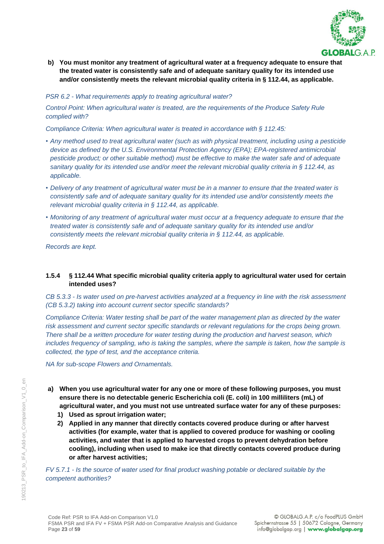

**b) You must monitor any treatment of agricultural water at a frequency adequate to ensure that the treated water is consistently safe and of adequate sanitary quality for its intended use and/or consistently meets the relevant microbial quality criteria in § 112.44, as applicable.**

### *PSR 6.2 - What requirements apply to treating agricultural water?*

*Control Point: When agricultural water is treated, are the requirements of the Produce Safety Rule complied with?*

*Compliance Criteria: When agricultural water is treated in accordance with § 112.45:*

- *• Any method used to treat agricultural water (such as with physical treatment, including using a pesticide device as defined by the U.S. Environmental Protection Agency (EPA); EPA-registered antimicrobial pesticide product; or other suitable method) must be effective to make the water safe and of adequate sanitary quality for its intended use and/or meet the relevant microbial quality criteria in § 112.44, as applicable.*
- *• Delivery of any treatment of agricultural water must be in a manner to ensure that the treated water is consistently safe and of adequate sanitary quality for its intended use and/or consistently meets the relevant microbial quality criteria in § 112.44, as applicable.*
- *• Monitoring of any treatment of agricultural water must occur at a frequency adequate to ensure that the treated water is consistently safe and of adequate sanitary quality for its intended use and/or consistently meets the relevant microbial quality criteria in § 112.44, as applicable.*

*Records are kept.*

### **1.5.4 § 112.44 What specific microbial quality criteria apply to agricultural water used for certain intended uses?**

*CB 5.3.3 - Is water used on pre-harvest activities analyzed at a frequency in line with the risk assessment (CB 5.3.2) taking into account current sector specific standards?*

*Compliance Criteria: Water testing shall be part of the water management plan as directed by the water risk assessment and current sector specific standards or relevant regulations for the crops being grown. There shall be a written procedure for water testing during the production and harvest season, which includes frequency of sampling, who is taking the samples, where the sample is taken, how the sample is collected, the type of test, and the acceptance criteria.* 

*NA for sub-scope Flowers and Ornamentals.*

- **a) When you use agricultural water for any one or more of these following purposes, you must ensure there is no detectable generic Escherichia coli (E. coli) in 100 milliliters (mL) of agricultural water, and you must not use untreated surface water for any of these purposes:**
	- **1) Used as sprout irrigation water;**
	- **2) Applied in any manner that directly contacts covered produce during or after harvest activities (for example, water that is applied to covered produce for washing or cooling activities, and water that is applied to harvested crops to prevent dehydration before cooling), including when used to make ice that directly contacts covered produce during or after harvest activities;**

*FV 5.7.1 - Is the source of water used for final product washing potable or declared suitable by the competent authorities?*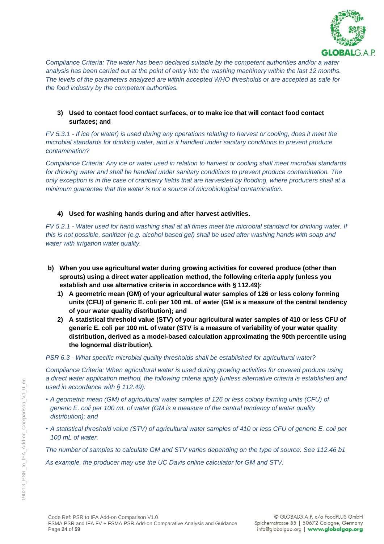

*Compliance Criteria: The water has been declared suitable by the competent authorities and/or a water analysis has been carried out at the point of entry into the washing machinery within the last 12 months. The levels of the parameters analyzed are within accepted WHO thresholds or are accepted as safe for the food industry by the competent authorities.*

### **3) Used to contact food contact surfaces, or to make ice that will contact food contact surfaces; and**

*FV 5.3.1 - If ice (or water) is used during any operations relating to harvest or cooling, does it meet the microbial standards for drinking water, and is it handled under sanitary conditions to prevent produce contamination?*

*Compliance Criteria: Any ice or water used in relation to harvest or cooling shall meet microbial standards for drinking water and shall be handled under sanitary conditions to prevent produce contamination. The only exception is in the case of cranberry fields that are harvested by flooding, where producers shall at a minimum guarantee that the water is not a source of microbiological contamination.*

### **4) Used for washing hands during and after harvest activities.**

*FV 5.2.1 - Water used for hand washing shall at all times meet the microbial standard for drinking water. If this is not possible, sanitizer (e.g. alcohol based gel) shall be used after washing hands with soap and water with irrigation water quality.*

- **b) When you use agricultural water during growing activities for covered produce (other than sprouts) using a direct water application method, the following criteria apply (unless you establish and use alternative criteria in accordance with § 112.49):** 
	- **1) A geometric mean (GM) of your agricultural water samples of 126 or less colony forming units (CFU) of generic E. coli per 100 mL of water (GM is a measure of the central tendency of your water quality distribution); and**
	- **2) A statistical threshold value (STV) of your agricultural water samples of 410 or less CFU of generic E. coli per 100 mL of water (STV is a measure of variability of your water quality distribution, derived as a model-based calculation approximating the 90th percentile using the lognormal distribution).**

#### *PSR 6.3 - What specific microbial quality thresholds shall be established for agricultural water?*

*Compliance Criteria: When agricultural water is used during growing activities for covered produce using a direct water application method, the following criteria apply (unless alternative criteria is established and used in accordance with § 112.49):* 

- *• A geometric mean (GM) of agricultural water samples of 126 or less colony forming units (CFU) of generic E. coli per 100 mL of water (GM is a measure of the central tendency of water quality distribution); and*
- *• A statistical threshold value (STV) of agricultural water samples of 410 or less CFU of generic E. coli per 100 mL of water.*

*The number of samples to calculate GM and STV varies depending on the type of source. See 112.46 b1* 

*As example, the producer may use the UC Davis online calculator for GM and STV.*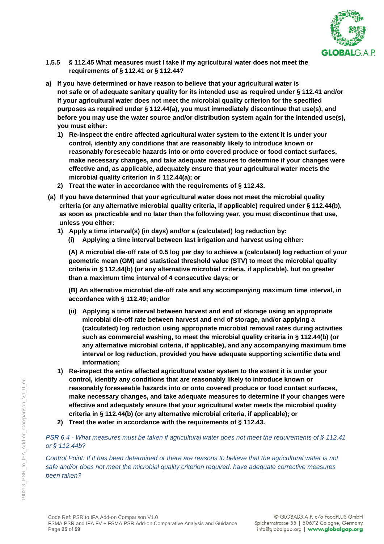

- **1.5.5 § 112.45 What measures must I take if my agricultural water does not meet the requirements of § 112.41 or § 112.44?**
- **a) If you have determined or have reason to believe that your agricultural water is not safe or of adequate sanitary quality for its intended use as required under § 112.41 and/or if your agricultural water does not meet the microbial quality criterion for the specified purposes as required under § 112.44(a), you must immediately discontinue that use(s), and before you may use the water source and/or distribution system again for the intended use(s), you must either:**
	- **1) Re-inspect the entire affected agricultural water system to the extent it is under your control, identify any conditions that are reasonably likely to introduce known or reasonably foreseeable hazards into or onto covered produce or food contact surfaces, make necessary changes, and take adequate measures to determine if your changes were effective and, as applicable, adequately ensure that your agricultural water meets the microbial quality criterion in § 112.44(a); or**
	- **2) Treat the water in accordance with the requirements of § 112.43.**
- **(a) If you have determined that your agricultural water does not meet the microbial quality criteria (or any alternative microbial quality criteria, if applicable) required under § 112.44(b), as soon as practicable and no later than the following year, you must discontinue that use, unless you either:**
	- **1) Apply a time interval(s) (in days) and/or a (calculated) log reduction by:**
		- **(i) Applying a time interval between last irrigation and harvest using either:**

**(A) A microbial die-off rate of 0.5 log per day to achieve a (calculated) log reduction of your geometric mean (GM) and statistical threshold value (STV) to meet the microbial quality criteria in § 112.44(b) (or any alternative microbial criteria, if applicable), but no greater than a maximum time interval of 4 consecutive days; or**

**(B) An alternative microbial die-off rate and any accompanying maximum time interval, in accordance with § 112.49; and/or**

- **(ii) Applying a time interval between harvest and end of storage using an appropriate microbial die-off rate between harvest and end of storage, and/or applying a (calculated) log reduction using appropriate microbial removal rates during activities such as commercial washing, to meet the microbial quality criteria in § 112.44(b) (or any alternative microbial criteria, if applicable), and any accompanying maximum time interval or log reduction, provided you have adequate supporting scientific data and information;**
- **1) Re-inspect the entire affected agricultural water system to the extent it is under your control, identify any conditions that are reasonably likely to introduce known or reasonably foreseeable hazards into or onto covered produce or food contact surfaces, make necessary changes, and take adequate measures to determine if your changes were effective and adequately ensure that your agricultural water meets the microbial quality criteria in § 112.44(b) (or any alternative microbial criteria, if applicable); or**
- **2) Treat the water in accordance with the requirements of § 112.43.**

# *PSR 6.4 - What measures must be taken if agricultural water does not meet the requirements of § 112.41 or § 112.44b?*

*Control Point: If it has been determined or there are reasons to believe that the agricultural water is not safe and/or does not meet the microbial quality criterion required, have adequate corrective measures been taken?*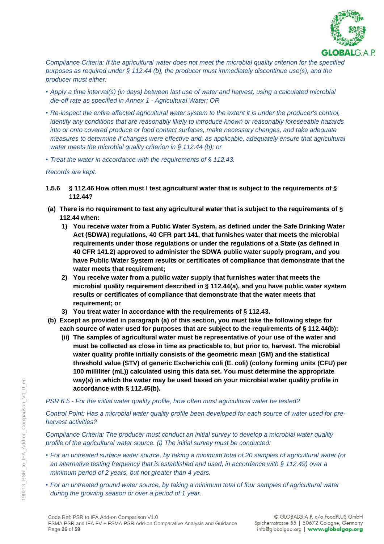

*Compliance Criteria: If the agricultural water does not meet the microbial quality criterion for the specified purposes as required under § 112.44 (b), the producer must immediately discontinue use(s), and the producer must either:*

- *• Apply a time interval(s) (in days) between last use of water and harvest, using a calculated microbial die-off rate as specified in Annex 1 - Agricultural Water; OR*
- Re-inspect the entire affected agricultural water system to the extent it is under the producer's control, *identify any conditions that are reasonably likely to introduce known or reasonably foreseeable hazards into or onto covered produce or food contact surfaces, make necessary changes, and take adequate measures to determine if changes were effective and, as applicable, adequately ensure that agricultural water meets the microbial quality criterion in § 112.44 (b); or*
- *• Treat the water in accordance with the requirements of § 112.43.*

*Records are kept.*

- **1.5.6 § 112.46 How often must I test agricultural water that is subject to the requirements of § 112.44?**
- **(a) There is no requirement to test any agricultural water that is subject to the requirements of § 112.44 when:**
	- **1) You receive water from a Public Water System, as defined under the Safe Drinking Water Act (SDWA) regulations, 40 CFR part 141, that furnishes water that meets the microbial requirements under those regulations or under the regulations of a State (as defined in 40 CFR 141.2) approved to administer the SDWA public water supply program, and you have Public Water System results or certificates of compliance that demonstrate that the water meets that requirement;**
	- **2) You receive water from a public water supply that furnishes water that meets the microbial quality requirement described in § 112.44(a), and you have public water system results or certificates of compliance that demonstrate that the water meets that requirement; or**
	- **3) You treat water in accordance with the requirements of § 112.43.**
- **(b) Except as provided in paragraph (a) of this section, you must take the following steps for each source of water used for purposes that are subject to the requirements of § 112.44(b):**
	- **(ii) The samples of agricultural water must be representative of your use of the water and must be collected as close in time as practicable to, but prior to, harvest. The microbial water quality profile initially consists of the geometric mean (GM) and the statistical threshold value (STV) of generic Escherichia coli (E. coli) (colony forming units (CFU) per 100 milliliter (mL)) calculated using this data set. You must determine the appropriate way(s) in which the water may be used based on your microbial water quality profile in accordance with § 112.45(b).**

#### *PSR 6.5 - For the initial water quality profile, how often must agricultural water be tested?*

*Control Point: Has a microbial water quality profile been developed for each source of water used for preharvest activities?*

*Compliance Criteria: The producer must conduct an initial survey to develop a microbial water quality profile of the agricultural water source. (i) The initial survey must be conducted:* 

- *• For an untreated surface water source, by taking a minimum total of 20 samples of agricultural water (or an alternative testing frequency that is established and used, in accordance with § 112.49) over a minimum period of 2 years, but not greater than 4 years.*
- *• For an untreated ground water source, by taking a minimum total of four samples of agricultural water during the growing season or over a period of 1 year.*

190213\_PSR\_to\_IFA\_Add-on\_Comparison\_V1\_0\_en

90213 PSR to IFA Add-on Comparison V1 0

 $\infty$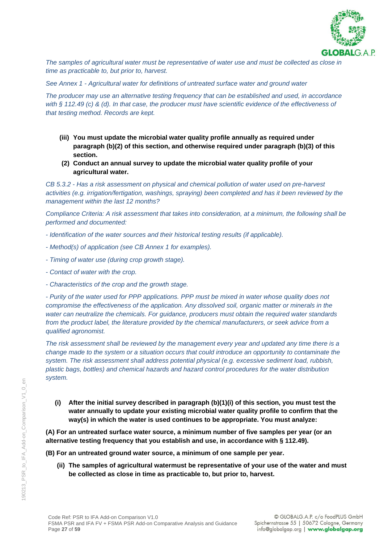

*The samples of agricultural water must be representative of water use and must be collected as close in time as practicable to, but prior to, harvest.* 

*See Annex 1 - Agricultural water for definitions of untreated surface water and ground water*

*The producer may use an alternative testing frequency that can be established and used, in accordance with § 112.49 (c) & (d). In that case, the producer must have scientific evidence of the effectiveness of that testing method. Records are kept.*

- **(iii) You must update the microbial water quality profile annually as required under paragraph (b)(2) of this section, and otherwise required under paragraph (b)(3) of this section.**
- **(2) Conduct an annual survey to update the microbial water quality profile of your agricultural water.**

*CB 5.3.2 - Has a risk assessment on physical and chemical pollution of water used on pre-harvest activities (e.g. irrigation/fertigation, washings, spraying) been completed and has it been reviewed by the management within the last 12 months?*

*Compliance Criteria: A risk assessment that takes into consideration, at a minimum, the following shall be performed and documented:*

- *- Identification of the water sources and their historical testing results (if applicable).*
- *- Method(s) of application (see CB Annex 1 for examples).*
- *- Timing of water use (during crop growth stage).*
- *- Contact of water with the crop.*
- *- Characteristics of the crop and the growth stage.*

*- Purity of the water used for PPP applications. PPP must be mixed in water whose quality does not compromise the effectiveness of the application. Any dissolved soil, organic matter or minerals in the water can neutralize the chemicals. For guidance, producers must obtain the required water standards from the product label, the literature provided by the chemical manufacturers, or seek advice from a qualified agronomist.*

*The risk assessment shall be reviewed by the management every year and updated any time there is a change made to the system or a situation occurs that could introduce an opportunity to contaminate the system. The risk assessment shall address potential physical (e.g. excessive sediment load, rubbish, plastic bags, bottles) and chemical hazards and hazard control procedures for the water distribution system.*

**(i) After the initial survey described in paragraph (b)(1)(i) of this section, you must test the water annually to update your existing microbial water quality profile to confirm that the way(s) in which the water is used continues to be appropriate. You must analyze:**

**(A) For an untreated surface water source, a minimum number of five samples per year (or an alternative testing frequency that you establish and use, in accordance with § 112.49).**

**(B) For an untreated ground water source, a minimum of one sample per year.**

**(ii) The samples of agricultural watermust be representative of your use of the water and must be collected as close in time as practicable to, but prior to, harvest.**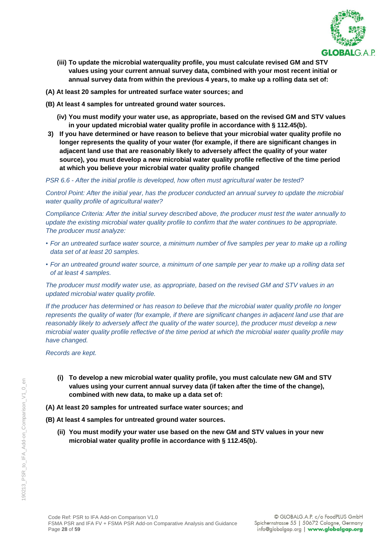

- **(iii) To update the microbial waterquality profile, you must calculate revised GM and STV values using your current annual survey data, combined with your most recent initial or annual survey data from within the previous 4 years, to make up a rolling data set of:**
- **(A) At least 20 samples for untreated surface water sources; and**
- **(B) At least 4 samples for untreated ground water sources.**
	- **(iv) You must modify your water use, as appropriate, based on the revised GM and STV values in your updated microbial water quality profile in accordance with § 112.45(b).**
- **3) If you have determined or have reason to believe that your microbial water quality profile no longer represents the quality of your water (for example, if there are significant changes in adjacent land use that are reasonably likely to adversely affect the quality of your water source), you must develop a new microbial water quality profile reflective of the time period at which you believe your microbial water quality profile changed**

*PSR 6.6 - After the initial profile is developed, how often must agricultural water be tested?*

*Control Point: After the initial year, has the producer conducted an annual survey to update the microbial water quality profile of agricultural water?*

*Compliance Criteria: After the initial survey described above, the producer must test the water annually to update the existing microbial water quality profile to confirm that the water continues to be appropriate. The producer must analyze:* 

- *• For an untreated surface water source, a minimum number of five samples per year to make up a rolling data set of at least 20 samples.*
- *• For an untreated ground water source, a minimum of one sample per year to make up a rolling data set of at least 4 samples.*

*The producer must modify water use, as appropriate, based on the revised GM and STV values in an updated microbial water quality profile.*

*If the producer has determined or has reason to believe that the microbial water quality profile no longer represents the quality of water (for example, if there are significant changes in adjacent land use that are reasonably likely to adversely affect the quality of the water source), the producer must develop a new microbial water quality profile reflective of the time period at which the microbial water quality profile may have changed.*

*Records are kept.*

- **(i) To develop a new microbial water quality profile, you must calculate new GM and STV values using your current annual survey data (if taken after the time of the change), combined with new data, to make up a data set of:**
- **(A) At least 20 samples for untreated surface water sources; and**

**(B) At least 4 samples for untreated ground water sources.**

**(ii) You must modify your water use based on the new GM and STV values in your new microbial water quality profile in accordance with § 112.45(b).**

 $\infty$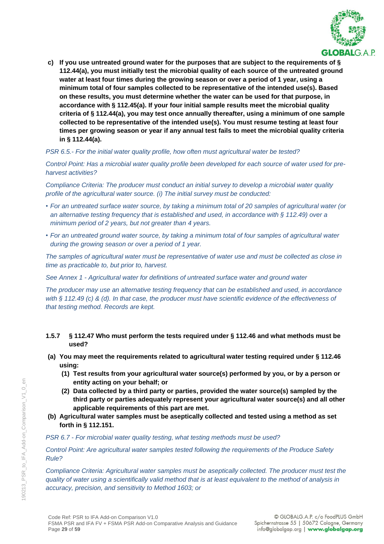

**c) If you use untreated ground water for the purposes that are subject to the requirements of § 112.44(a), you must initially test the microbial quality of each source of the untreated ground water at least four times during the growing season or over a period of 1 year, using a minimum total of four samples collected to be representative of the intended use(s). Based on these results, you must determine whether the water can be used for that purpose, in accordance with § 112.45(a). If your four initial sample results meet the microbial quality criteria of § 112.44(a), you may test once annually thereafter, using a minimum of one sample collected to be representative of the intended use(s). You must resume testing at least four times per growing season or year if any annual test fails to meet the microbial quality criteria in § 112.44(a).**

*PSR 6.5.- For the initial water quality profile, how often must agricultural water be tested?*

*Control Point: Has a microbial water quality profile been developed for each source of water used for preharvest activities?*

*Compliance Criteria: The producer must conduct an initial survey to develop a microbial water quality profile of the agricultural water source. (i) The initial survey must be conducted:* 

- *• For an untreated surface water source, by taking a minimum total of 20 samples of agricultural water (or an alternative testing frequency that is established and used, in accordance with § 112.49) over a minimum period of 2 years, but not greater than 4 years.*
- *• For an untreated ground water source, by taking a minimum total of four samples of agricultural water during the growing season or over a period of 1 year.*

*The samples of agricultural water must be representative of water use and must be collected as close in time as practicable to, but prior to, harvest.* 

*See Annex 1 - Agricultural water for definitions of untreated surface water and ground water*

*The producer may use an alternative testing frequency that can be established and used, in accordance with § 112.49 (c) & (d). In that case, the producer must have scientific evidence of the effectiveness of that testing method. Records are kept.*

### **1.5.7 § 112.47 Who must perform the tests required under § 112.46 and what methods must be used?**

- **(a) You may meet the requirements related to agricultural water testing required under § 112.46 using:**
	- **(1) Test results from your agricultural water source(s) performed by you, or by a person or entity acting on your behalf; or**
	- **(2) Data collected by a third party or parties, provided the water source(s) sampled by the third party or parties adequately represent your agricultural water source(s) and all other applicable requirements of this part are met.**
- **(b) Agricultural water samples must be aseptically collected and tested using a method as set forth in § 112.151.**

*PSR 6.7 - For microbial water quality testing, what testing methods must be used?*

*Control Point: Are agricultural water samples tested following the requirements of the Produce Safety Rule?*

*Compliance Criteria: Agricultural water samples must be aseptically collected. The producer must test the quality of water using a scientifically valid method that is at least equivalent to the method of analysis in accuracy, precision, and sensitivity to Method 1603; or*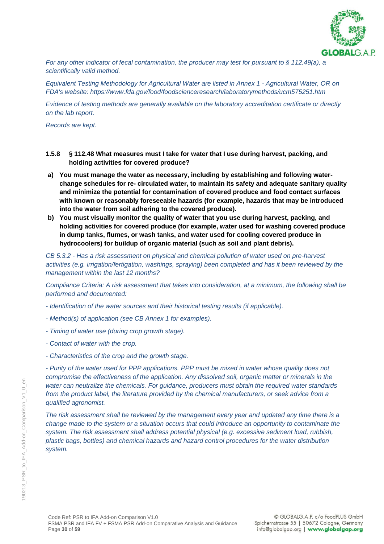

*For any other indicator of fecal contamination, the producer may test for pursuant to § 112.49(a), a scientifically valid method.*

*Equivalent Testing Methodology for Agricultural Water are listed in Annex 1 - Agricultural Water, OR on FDA's website: https://www.fda.gov/food/foodscienceresearch/laboratorymethods/ucm575251.htm*

*Evidence of testing methods are generally available on the laboratory accreditation certificate or directly on the lab report.*

*Records are kept.*

- **1.5.8 § 112.48 What measures must I take for water that I use during harvest, packing, and holding activities for covered produce?**
- **a) You must manage the water as necessary, including by establishing and following waterchange schedules for re- circulated water, to maintain its safety and adequate sanitary quality and minimize the potential for contamination of covered produce and food contact surfaces with known or reasonably foreseeable hazards (for example, hazards that may be introduced into the water from soil adhering to the covered produce).**
- **b) You must visually monitor the quality of water that you use during harvest, packing, and holding activities for covered produce (for example, water used for washing covered produce in dump tanks, flumes, or wash tanks, and water used for cooling covered produce in hydrocoolers) for buildup of organic material (such as soil and plant debris).**

*CB 5.3.2 - Has a risk assessment on physical and chemical pollution of water used on pre-harvest activities (e.g. irrigation/fertigation, washings, spraying) been completed and has it been reviewed by the management within the last 12 months?*

*Compliance Criteria: A risk assessment that takes into consideration, at a minimum, the following shall be performed and documented:*

- *- Identification of the water sources and their historical testing results (if applicable).*
- *- Method(s) of application (see CB Annex 1 for examples).*
- *- Timing of water use (during crop growth stage).*
- *- Contact of water with the crop.*
- *- Characteristics of the crop and the growth stage.*

*- Purity of the water used for PPP applications. PPP must be mixed in water whose quality does not compromise the effectiveness of the application. Any dissolved soil, organic matter or minerals in the water can neutralize the chemicals. For guidance, producers must obtain the required water standards*  from the product label, the literature provided by the chemical manufacturers, or seek advice from a *qualified agronomist.*

*The risk assessment shall be reviewed by the management every year and updated any time there is a change made to the system or a situation occurs that could introduce an opportunity to contaminate the system. The risk assessment shall address potential physical (e.g. excessive sediment load, rubbish, plastic bags, bottles) and chemical hazards and hazard control procedures for the water distribution system.*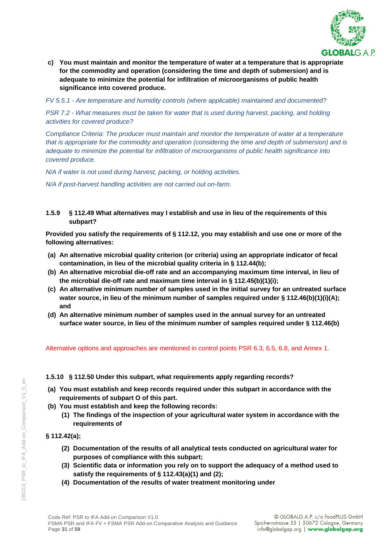

**c) You must maintain and monitor the temperature of water at a temperature that is appropriate for the commodity and operation (considering the time and depth of submersion) and is adequate to minimize the potential for infiltration of microorganisms of public health significance into covered produce.**

*FV 5.5.1 - Are temperature and humidity controls (where applicable) maintained and documented?*

*PSR 7.2 - What measures must be taken for water that is used during harvest, packing, and holding activities for covered produce?*

*Compliance Criteria: The producer must maintain and monitor the temperature of water at a temperature that is appropriate for the commodity and operation (considering the time and depth of submersion) and is adequate to minimize the potential for infiltration of microorganisms of public health significance into covered produce.* 

*N/A if water is not used during harvest, packing, or holding activities.*

*N/A if post-harvest handling activities are not carried out on-farm.*

# **1.5.9 § 112.49 What alternatives may I establish and use in lieu of the requirements of this subpart?**

**Provided you satisfy the requirements of § 112.12, you may establish and use one or more of the following alternatives:**

- **(a) An alternative microbial quality criterion (or criteria) using an appropriate indicator of fecal contamination, in lieu of the microbial quality criteria in § 112.44(b);**
- **(b) An alternative microbial die-off rate and an accompanying maximum time interval, in lieu of the microbial die-off rate and maximum time interval in § 112.45(b)(1)(i);**
- **(c) An alternative minimum number of samples used in the initial survey for an untreated surface**  water source, in lieu of the minimum number of samples required under § 112.46(b)(1)(i)(A); **and**
- **(d) An alternative minimum number of samples used in the annual survey for an untreated surface water source, in lieu of the minimum number of samples required under § 112.46(b)**

Alternative options and approaches are mentioned in control points PSR 6.3, 6.5, 6.8, and Annex 1.

### **1.5.10 § 112.50 Under this subpart, what requirements apply regarding records?**

- **(a) You must establish and keep records required under this subpart in accordance with the requirements of subpart O of this part.**
- **(b) You must establish and keep the following records:**
	- **(1) The findings of the inspection of your agricultural water system in accordance with the requirements of**

### **§ 112.42(a);**

- **(2) Documentation of the results of all analytical tests conducted on agricultural water for purposes of compliance with this subpart;**
- **(3) Scientific data or information you rely on to support the adequacy of a method used to satisfy the requirements of § 112.43(a)(1) and (2);**
- **(4) Documentation of the results of water treatment monitoring under**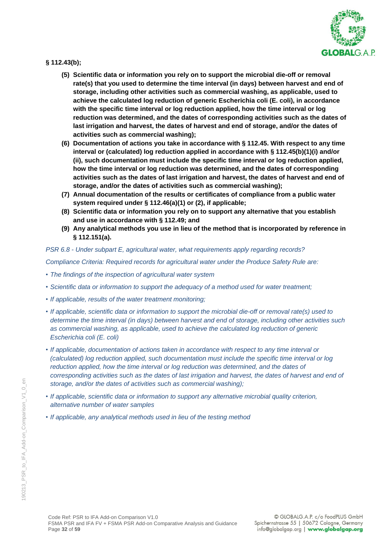

### **§ 112.43(b);**

- **(5) Scientific data or information you rely on to support the microbial die-off or removal rate(s) that you used to determine the time interval (in days) between harvest and end of storage, including other activities such as commercial washing, as applicable, used to achieve the calculated log reduction of generic Escherichia coli (E. coli), in accordance with the specific time interval or log reduction applied, how the time interval or log reduction was determined, and the dates of corresponding activities such as the dates of last irrigation and harvest, the dates of harvest and end of storage, and/or the dates of activities such as commercial washing);**
- **(6) Documentation of actions you take in accordance with § 112.45. With respect to any time interval or (calculated) log reduction applied in accordance with § 112.45(b)(1)(i) and/or (ii), such documentation must include the specific time interval or log reduction applied, how the time interval or log reduction was determined, and the dates of corresponding activities such as the dates of last irrigation and harvest, the dates of harvest and end of storage, and/or the dates of activities such as commercial washing);**
- **(7) Annual documentation of the results or certificates of compliance from a public water system required under § 112.46(a)(1) or (2), if applicable;**
- **(8) Scientific data or information you rely on to support any alternative that you establish and use in accordance with § 112.49; and**
- **(9) Any analytical methods you use in lieu of the method that is incorporated by reference in § 112.151(a).**

#### *PSR 6.8 - Under subpart E, agricultural water, what requirements apply regarding records?*

*Compliance Criteria: Required records for agricultural water under the Produce Safety Rule are:*

- *• The findings of the inspection of agricultural water system*
- *• Scientific data or information to support the adequacy of a method used for water treatment;*
- *• If applicable, results of the water treatment monitoring;*
- *• If applicable, scientific data or information to support the microbial die-off or removal rate(s) used to determine the time interval (in days) between harvest and end of storage, including other activities such as commercial washing, as applicable, used to achieve the calculated log reduction of generic Escherichia coli (E. coli)*
- *• If applicable, documentation of actions taken in accordance with respect to any time interval or (calculated) log reduction applied, such documentation must include the specific time interval or log reduction applied, how the time interval or log reduction was determined, and the dates of corresponding activities such as the dates of last irrigation and harvest, the dates of harvest and end of storage, and/or the dates of activities such as commercial washing);*
- *• If applicable, scientific data or information to support any alternative microbial quality criterion, alternative number of water samples*
- *• If applicable, any analytical methods used in lieu of the testing method*

 $\infty$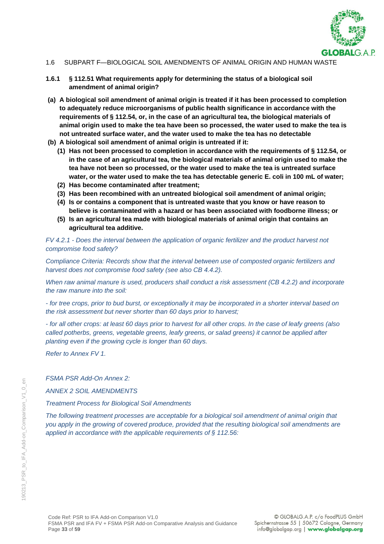

- 1.6 SUBPART F—BIOLOGICAL SOIL AMENDMENTS OF ANIMAL ORIGIN AND HUMAN WASTE
- **1.6.1 § 112.51 What requirements apply for determining the status of a biological soil amendment of animal origin?**
- **(a) A biological soil amendment of animal origin is treated if it has been processed to completion to adequately reduce microorganisms of public health significance in accordance with the requirements of § 112.54, or, in the case of an agricultural tea, the biological materials of animal origin used to make the tea have been so processed, the water used to make the tea is not untreated surface water, and the water used to make the tea has no detectable**
- **(b) A biological soil amendment of animal origin is untreated if it:**
	- **(1) Has not been processed to completion in accordance with the requirements of § 112.54, or in the case of an agricultural tea, the biological materials of animal origin used to make the tea have not been so processed, or the water used to make the tea is untreated surface water, or the water used to make the tea has detectable generic E. coli in 100 mL of water;**
	- **(2) Has become contaminated after treatment;**
	- **(3) Has been recombined with an untreated biological soil amendment of animal origin;**
	- **(4) Is or contains a component that is untreated waste that you know or have reason to believe is contaminated with a hazard or has been associated with foodborne illness; or**
	- **(5) Is an agricultural tea made with biological materials of animal origin that contains an agricultural tea additive.**

*FV 4.2.1 - Does the interval between the application of organic fertilizer and the product harvest not compromise food safety?*

*Compliance Criteria: Records show that the interval between use of composted organic fertilizers and harvest does not compromise food safety (see also CB 4.4.2).*

*When raw animal manure is used, producers shall conduct a risk assessment (CB 4.2.2) and incorporate the raw manure into the soil:*

*- for tree crops, prior to bud burst, or exceptionally it may be incorporated in a shorter interval based on the risk assessment but never shorter than 60 days prior to harvest;*

*- for all other crops: at least 60 days prior to harvest for all other crops. In the case of leafy greens (also called potherbs, greens, vegetable greens, leafy greens, or salad greens) it cannot be applied after planting even if the growing cycle is longer than 60 days.*

*Refer to Annex FV 1.*

*FSMA PSR Add-On Annex 2:* 

*ANNEX 2 SOIL AMENDMENTS*

*Treatment Process for Biological Soil Amendments* 

*The following treatment processes are acceptable for a biological soil amendment of animal origin that you apply in the growing of covered produce, provided that the resulting biological soil amendments are applied in accordance with the applicable requirements of § 112.56:*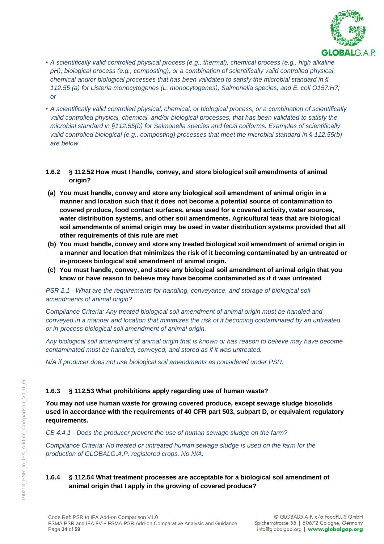

- *• A scientifically valid controlled physical process (e.g., thermal), chemical process (e.g., high alkaline pH), biological process (e.g., composting), or a combination of scientifically valid controlled physical, chemical and/or biological processes that has been validated to satisfy the microbial standard in § 112.55 (a) for Listeria monocytogenes (L. monocytogenes), Salmonella species, and E. coli O157:H7; or*
- *• A scientifically valid controlled physical, chemical, or biological process, or a combination of scientifically valid controlled physical, chemical, and/or biological processes, that has been validated to satisfy the microbial standard in §112.55(b) for Salmonella species and fecal coliforms. Examples of scientifically valid controlled biological (e.g., composting) processes that meet the microbial standard in § 112.55(b) are below.*

#### **1.6.2 § 112.52 How must I handle, convey, and store biological soil amendments of animal origin?**

- **(a) You must handle, convey and store any biological soil amendment of animal origin in a manner and location such that it does not become a potential source of contamination to covered produce, food contact surfaces, areas used for a covered activity, water sources, water distribution systems, and other soil amendments. Agricultural teas that are biological soil amendments of animal origin may be used in water distribution systems provided that all other requirements of this rule are met**
- **(b) You must handle, convey and store any treated biological soil amendment of animal origin in a manner and location that minimizes the risk of it becoming contaminated by an untreated or in-process biological soil amendment of animal origin.**
- **(c) You must handle, convey, and store any biological soil amendment of animal origin that you know or have reason to believe may have become contaminated as if it was untreated**

*PSR 2.1 - What are the requirements for handling, conveyance, and storage of biological soil amendments of animal origin?*

*Compliance Criteria: Any treated biological soil amendment of animal origin must be handled and conveyed in a manner and location that minimizes the risk of it becoming contaminated by an untreated or in-process biological soil amendment of animal origin.* 

*Any biological soil amendment of animal origin that is known or has reason to believe may have become contaminated must be handled, conveyed, and stored as if it was untreated.*

*N/A if producer does not use biological soil amendments as considered under PSR.*

### **1.6.3 § 112.53 What prohibitions apply regarding use of human waste?**

**You may not use human waste for growing covered produce, except sewage sludge biosolids used in accordance with the requirements of 40 CFR part 503, subpart D, or equivalent regulatory requirements.**

*CB 4.4.1 - Does the producer prevent the use of human sewage sludge on the farm?*

*Compliance Criteria: No treated or untreated human sewage sludge is used on the farm for the production of GLOBALG.A.P. registered crops. No N/A.*

# **1.6.4 § 112.54 What treatment processes are acceptable for a biological soil amendment of animal origin that I apply in the growing of covered produce?**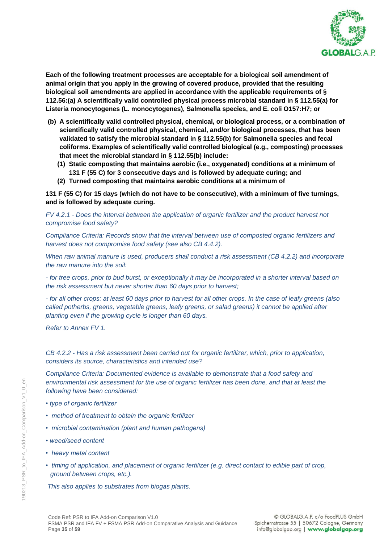

**Each of the following treatment processes are acceptable for a biological soil amendment of animal origin that you apply in the growing of covered produce, provided that the resulting biological soil amendments are applied in accordance with the applicable requirements of § 112.56:(a) A scientifically valid controlled physical process microbial standard in § 112.55(a) for Listeria monocytogenes (L. monocytogenes), Salmonella species, and E. coli O157:H7; or**

- **(b) A scientifically valid controlled physical, chemical, or biological process, or a combination of scientifically valid controlled physical, chemical, and/or biological processes, that has been validated to satisfy the microbial standard in § 112.55(b) for Salmonella species and fecal coliforms. Examples of scientifically valid controlled biological (e.g., composting) processes that meet the microbial standard in § 112.55(b) include:**
	- **(1) Static composting that maintains aerobic (i.e., oxygenated) conditions at a minimum of 131 F (55 C) for 3 consecutive days and is followed by adequate curing; and**
	- **(2) Turned composting that maintains aerobic conditions at a minimum of**

**131 F (55 C) for 15 days (which do not have to be consecutive), with a minimum of five turnings, and is followed by adequate curing.**

*FV 4.2.1 - Does the interval between the application of organic fertilizer and the product harvest not compromise food safety?*

*Compliance Criteria: Records show that the interval between use of composted organic fertilizers and harvest does not compromise food safety (see also CB 4.4.2).*

*When raw animal manure is used, producers shall conduct a risk assessment (CB 4.2.2) and incorporate the raw manure into the soil:*

*- for tree crops, prior to bud burst, or exceptionally it may be incorporated in a shorter interval based on the risk assessment but never shorter than 60 days prior to harvest;*

*- for all other crops: at least 60 days prior to harvest for all other crops. In the case of leafy greens (also called potherbs, greens, vegetable greens, leafy greens, or salad greens) it cannot be applied after planting even if the growing cycle is longer than 60 days.*

*Refer to Annex FV 1.*

*CB 4.2.2 - Has a risk assessment been carried out for organic fertilizer, which, prior to application, considers its source, characteristics and intended use?*

*Compliance Criteria: Documented evidence is available to demonstrate that a food safety and environmental risk assessment for the use of organic fertilizer has been done, and that at least the following have been considered:* 

- *type of organic fertilizer*
- *method of treatment to obtain the organic fertilizer*
- *microbial contamination (plant and human pathogens)*
- *weed/seed content*
- *heavy metal content*
- *timing of application, and placement of organic fertilizer (e.g. direct contact to edible part of crop, ground between crops, etc.).*

*This also applies to substrates from biogas plants.*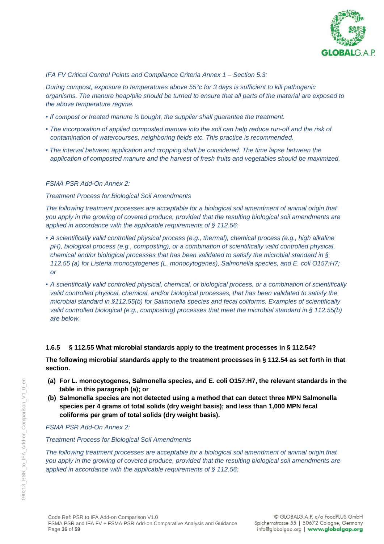

### *IFA FV Critical Control Points and Compliance Criteria Annex 1 – Section 5.3:*

*During compost, exposure to temperatures above 55°c for 3 days is sufficient to kill pathogenic organisms. The manure heap/pile should be turned to ensure that all parts of the material are exposed to the above temperature regime.*

- *If compost or treated manure is bought, the supplier shall guarantee the treatment.*
- The incorporation of applied composted manure into the soil can help reduce run-off and the risk of *contamination of watercourses, neighboring fields etc. This practice is recommended.*
- *• The interval between application and cropping shall be considered. The time lapse between the application of composted manure and the harvest of fresh fruits and vegetables should be maximized.*

### *FSMA PSR Add-On Annex 2:*

#### *Treatment Process for Biological Soil Amendments*

*The following treatment processes are acceptable for a biological soil amendment of animal origin that you apply in the growing of covered produce, provided that the resulting biological soil amendments are applied in accordance with the applicable requirements of § 112.56:* 

- *• A scientifically valid controlled physical process (e.g., thermal), chemical process (e.g., high alkaline pH), biological process (e.g., composting), or a combination of scientifically valid controlled physical, chemical and/or biological processes that has been validated to satisfy the microbial standard in § 112.55 (a) for Listeria monocytogenes (L. monocytogenes), Salmonella species, and E. coli O157:H7; or*
- *• A scientifically valid controlled physical, chemical, or biological process, or a combination of scientifically valid controlled physical, chemical, and/or biological processes, that has been validated to satisfy the microbial standard in §112.55(b) for Salmonella species and fecal coliforms. Examples of scientifically valid controlled biological (e.g., composting) processes that meet the microbial standard in § 112.55(b) are below.*

### **1.6.5 § 112.55 What microbial standards apply to the treatment processes in § 112.54?**

**The following microbial standards apply to the treatment processes in § 112.54 as set forth in that section.**

- **(a) For L. monocytogenes, Salmonella species, and E. coli O157:H7, the relevant standards in the table in this paragraph (a); or**
- **(b) Salmonella species are not detected using a method that can detect three MPN Salmonella species per 4 grams of total solids (dry weight basis); and less than 1,000 MPN fecal coliforms per gram of total solids (dry weight basis).**

### *FSMA PSR Add-On Annex 2:*

#### *Treatment Process for Biological Soil Amendments*

*The following treatment processes are acceptable for a biological soil amendment of animal origin that you apply in the growing of covered produce, provided that the resulting biological soil amendments are applied in accordance with the applicable requirements of § 112.56:* 

 $\overline{\Theta}$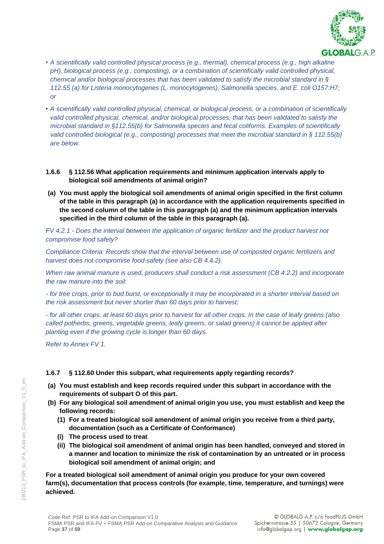

- *• A scientifically valid controlled physical process (e.g., thermal), chemical process (e.g., high alkaline pH), biological process (e.g., composting), or a combination of scientifically valid controlled physical, chemical and/or biological processes that has been validated to satisfy the microbial standard in § 112.55 (a) for Listeria monocytogenes (L. monocytogenes), Salmonella species, and E. coli O157:H7; or*
- *• A scientifically valid controlled physical, chemical, or biological process, or a combination of scientifically valid controlled physical, chemical, and/or biological processes, that has been validated to satisfy the microbial standard in §112.55(b) for Salmonella species and fecal coliforms. Examples of scientifically valid controlled biological (e.g., composting) processes that meet the microbial standard in § 112.55(b) are below.*

### **1.6.6 § 112.56 What application requirements and minimum application intervals apply to biological soil amendments of animal origin?**

**(a) You must apply the biological soil amendments of animal origin specified in the first column of the table in this paragraph (a) in accordance with the application requirements specified in the second column of the table in this paragraph (a) and the minimum application intervals specified in the third column of the table in this paragraph (a).**

*FV 4.2.1 - Does the interval between the application of organic fertilizer and the product harvest not compromise food safety?*

*Compliance Criteria: Records show that the interval between use of composted organic fertilizers and harvest does not compromise food safety (see also CB 4.4.2).*

*When raw animal manure is used, producers shall conduct a risk assessment (CB 4.2.2) and incorporate the raw manure into the soil:*

*- for tree crops, prior to bud burst, or exceptionally it may be incorporated in a shorter interval based on the risk assessment but never shorter than 60 days prior to harvest;*

*- for all other crops: at least 60 days prior to harvest for all other crops. In the case of leafy greens (also called potherbs, greens, vegetable greens, leafy greens, or salad greens) it cannot be applied after planting even if the growing cycle is longer than 60 days.*

*Refer to Annex FV 1.*

### **1.6.7 § 112.60 Under this subpart, what requirements apply regarding records?**

- **(a) You must establish and keep records required under this subpart in accordance with the requirements of subpart O of this part.**
- **(b) For any biological soil amendment of animal origin you use, you must establish and keep the following records:**
	- **(1) For a treated biological soil amendment of animal origin you receive from a third party, documentation (such as a Certificate of Conformance)**
	- **(i) The process used to treat**
	- **(ii) The biological soil amendment of animal origin has been handled, conveyed and stored in a manner and location to minimize the risk of contamination by an untreated or in process biological soil amendment of animal origin; and**

**For a treated biological soil amendment of animal origin you produce for your own covered farm(s), documentation that process controls (for example, time, temperature, and turnings) were achieved.**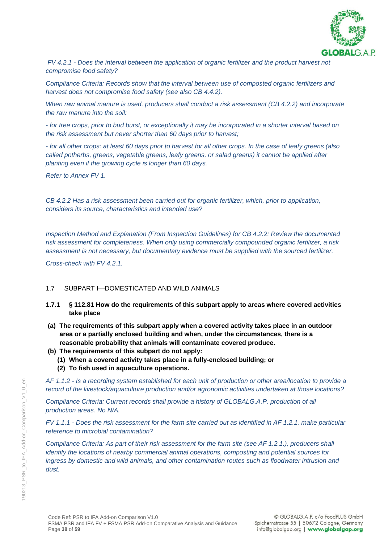

*FV 4.2.1 - Does the interval between the application of organic fertilizer and the product harvest not compromise food safety?*

*Compliance Criteria: Records show that the interval between use of composted organic fertilizers and harvest does not compromise food safety (see also CB 4.4.2).*

*When raw animal manure is used, producers shall conduct a risk assessment (CB 4.2.2) and incorporate the raw manure into the soil:*

*- for tree crops, prior to bud burst, or exceptionally it may be incorporated in a shorter interval based on the risk assessment but never shorter than 60 days prior to harvest;*

*- for all other crops: at least 60 days prior to harvest for all other crops. In the case of leafy greens (also called potherbs, greens, vegetable greens, leafy greens, or salad greens) it cannot be applied after planting even if the growing cycle is longer than 60 days.*

*Refer to Annex FV 1.*

*CB 4.2.2 Has a risk assessment been carried out for organic fertilizer, which, prior to application, considers its source, characteristics and intended use?*

*Inspection Method and Explanation (From Inspection Guidelines) for CB 4.2.2: Review the documented risk assessment for completeness. When only using commercially compounded organic fertilizer, a risk assessment is not necessary, but documentary evidence must be supplied with the sourced fertilizer.*

*Cross-check with FV 4.2.1.*

#### 1.7 SUBPART I—DOMESTICATED AND WILD ANIMALS

- **1.7.1 § 112.81 How do the requirements of this subpart apply to areas where covered activities take place**
- **(a) The requirements of this subpart apply when a covered activity takes place in an outdoor area or a partially enclosed building and when, under the circumstances, there is a reasonable probability that animals will contaminate covered produce.**
- **(b) The requirements of this subpart do not apply:**
	- **(1) When a covered activity takes place in a fully-enclosed building; or**
	- **(2) To fish used in aquaculture operations.**

*AF 1.1.2 - Is a recording system established for each unit of production or other area/location to provide a record of the livestock/aquaculture production and/or agronomic activities undertaken at those locations?*

*Compliance Criteria: Current records shall provide a history of GLOBALG.A.P. production of all production areas. No N/A.*

*FV 1.1.1 - Does the risk assessment for the farm site carried out as identified in AF 1.2.1. make particular reference to microbial contamination?*

*Compliance Criteria: As part of their risk assessment for the farm site (see AF 1.2.1.), producers shall identify the locations of nearby commercial animal operations, composting and potential sources for ingress by domestic and wild animals, and other contamination routes such as floodwater intrusion and dust.*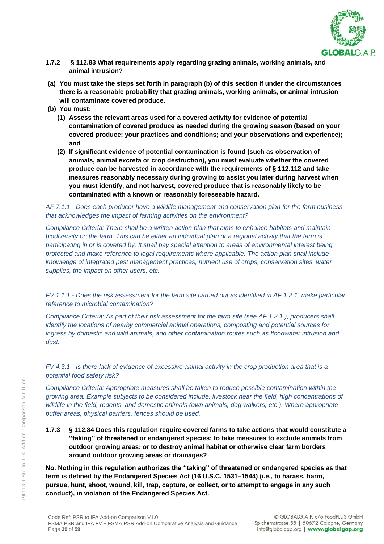

- **1.7.2 § 112.83 What requirements apply regarding grazing animals, working animals, and animal intrusion?**
- **(a) You must take the steps set forth in paragraph (b) of this section if under the circumstances there is a reasonable probability that grazing animals, working animals, or animal intrusion will contaminate covered produce.**
- **(b) You must:**
	- **(1) Assess the relevant areas used for a covered activity for evidence of potential contamination of covered produce as needed during the growing season (based on your covered produce; your practices and conditions; and your observations and experience); and**
	- **(2) If significant evidence of potential contamination is found (such as observation of animals, animal excreta or crop destruction), you must evaluate whether the covered produce can be harvested in accordance with the requirements of § 112.112 and take measures reasonably necessary during growing to assist you later during harvest when you must identify, and not harvest, covered produce that is reasonably likely to be contaminated with a known or reasonably foreseeable hazard.**

*AF 7.1.1 - Does each producer have a wildlife management and conservation plan for the farm business that acknowledges the impact of farming activities on the environment?*

*Compliance Criteria: There shall be a written action plan that aims to enhance habitats and maintain biodiversity on the farm. This can be either an individual plan or a regional activity that the farm is participating in or is covered by. It shall pay special attention to areas of environmental interest being protected and make reference to legal requirements where applicable. The action plan shall include knowledge of integrated pest management practices, nutrient use of crops, conservation sites, water supplies, the impact on other users, etc.*

*FV 1.1.1 - Does the risk assessment for the farm site carried out as identified in AF 1.2.1. make particular reference to microbial contamination?*

*Compliance Criteria: As part of their risk assessment for the farm site (see AF 1.2.1.), producers shall identify the locations of nearby commercial animal operations, composting and potential sources for ingress by domestic and wild animals, and other contamination routes such as floodwater intrusion and dust.*

*FV 4.3.1 - Is there lack of evidence of excessive animal activity in the crop production area that is a potential food safety risk?*

*Compliance Criteria: Appropriate measures shall be taken to reduce possible contamination within the growing area. Example subjects to be considered include: livestock near the field, high concentrations of wildlife in the field, rodents, and domestic animals (own animals, dog walkers, etc.). Where appropriate buffer areas, physical barriers, fences should be used.*

**1.7.3 § 112.84 Does this regulation require covered farms to take actions that would constitute a ''taking'' of threatened or endangered species; to take measures to exclude animals from outdoor growing areas; or to destroy animal habitat or otherwise clear farm borders around outdoor growing areas or drainages?**

**No. Nothing in this regulation authorizes the ''taking'' of threatened or endangered species as that term is defined by the Endangered Species Act (16 U.S.C. 1531–1544) (i.e., to harass, harm, pursue, hunt, shoot, wound, kill, trap, capture, or collect, or to attempt to engage in any such conduct), in violation of the Endangered Species Act.**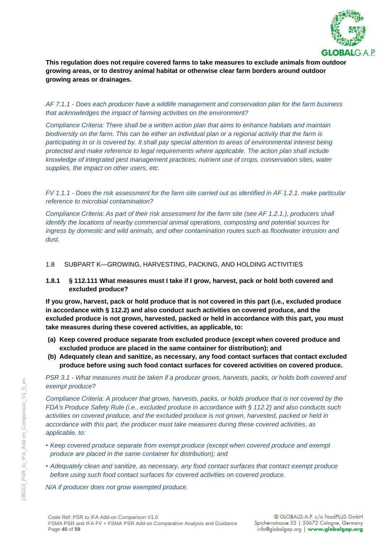

**This regulation does not require covered farms to take measures to exclude animals from outdoor growing areas, or to destroy animal habitat or otherwise clear farm borders around outdoor growing areas or drainages.**

*AF 7.1.1 - Does each producer have a wildlife management and conservation plan for the farm business that acknowledges the impact of farming activities on the environment?*

*Compliance Criteria: There shall be a written action plan that aims to enhance habitats and maintain biodiversity on the farm. This can be either an individual plan or a regional activity that the farm is participating in or is covered by. It shall pay special attention to areas of environmental interest being protected and make reference to legal requirements where applicable. The action plan shall include knowledge of integrated pest management practices, nutrient use of crops, conservation sites, water supplies, the impact on other users, etc.*

*FV 1.1.1 - Does the risk assessment for the farm site carried out as identified in AF 1.2.1. make particular reference to microbial contamination?*

*Compliance Criteria: As part of their risk assessment for the farm site (see AF 1.2.1.), producers shall identify the locations of nearby commercial animal operations, composting and potential sources for ingress by domestic and wild animals, and other contamination routes such as floodwater intrusion and dust.*

### 1.8 SUBPART K—GROWING, HARVESTING, PACKING, AND HOLDING ACTIVITIES

**1.8.1 § 112.111 What measures must I take if I grow, harvest, pack or hold both covered and excluded produce?**

**If you grow, harvest, pack or hold produce that is not covered in this part (i.e., excluded produce in accordance with § 112.2) and also conduct such activities on covered produce, and the excluded produce is not grown, harvested, packed or held in accordance with this part, you must take measures during these covered activities, as applicable, to:**

- **(a) Keep covered produce separate from excluded produce (except when covered produce and excluded produce are placed in the same container for distribution); and**
- **(b) Adequately clean and sanitize, as necessary, any food contact surfaces that contact excluded produce before using such food contact surfaces for covered activities on covered produce.**

*PSR 3.1 - What measures must be taken if a producer grows, harvests, packs, or holds both covered and exempt produce?*

*Compliance Criteria: A producer that grows, harvests, packs, or holds produce that is not covered by the FDA's Produce Safety Rule (i.e., excluded produce in accordance with § 112.2) and also conducts such activities on covered produce, and the excluded produce is not grown, harvested, packed or held in accordance with this part, the producer must take measures during these covered activities, as applicable, to:*

- *• Keep covered produce separate from exempt produce (except when covered produce and exempt produce are placed in the same container for distribution); and*
- *• Adequately clean and sanitize, as necessary, any food contact surfaces that contact exempt produce before using such food contact surfaces for covered activities on covered produce.*

*N/A if producer does not grow exempted produce.*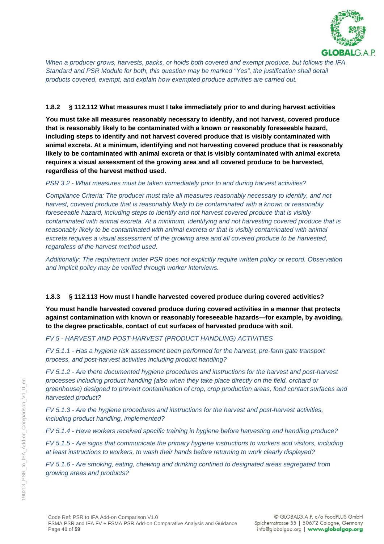

*When a producer grows, harvests, packs, or holds both covered and exempt produce, but follows the IFA Standard and PSR Module for both, this question may be marked "Yes", the justification shall detail products covered, exempt, and explain how exempted produce activities are carried out.*

#### **1.8.2 § 112.112 What measures must I take immediately prior to and during harvest activities**

**You must take all measures reasonably necessary to identify, and not harvest, covered produce that is reasonably likely to be contaminated with a known or reasonably foreseeable hazard, including steps to identify and not harvest covered produce that is visibly contaminated with animal excreta. At a minimum, identifying and not harvesting covered produce that is reasonably likely to be contaminated with animal excreta or that is visibly contaminated with animal excreta requires a visual assessment of the growing area and all covered produce to be harvested, regardless of the harvest method used.**

### *PSR 3.2 - What measures must be taken immediately prior to and during harvest activities?*

*Compliance Criteria: The producer must take all measures reasonably necessary to identify, and not harvest, covered produce that is reasonably likely to be contaminated with a known or reasonably foreseeable hazard, including steps to identify and not harvest covered produce that is visibly contaminated with animal excreta. At a minimum, identifying and not harvesting covered produce that is*  reasonably likely to be contaminated with animal excreta or that is visibly contaminated with animal *excreta requires a visual assessment of the growing area and all covered produce to be harvested, regardless of the harvest method used.*

*Additionally: The requirement under PSR does not explicitly require written policy or record. Observation and implicit policy may be verified through worker interviews.*

### **1.8.3 § 112.113 How must I handle harvested covered produce during covered activities?**

**You must handle harvested covered produce during covered activities in a manner that protects against contamination with known or reasonably foreseeable hazards—for example, by avoiding, to the degree practicable, contact of cut surfaces of harvested produce with soil.**

### *FV 5 - HARVEST AND POST-HARVEST (PRODUCT HANDLING) ACTIVITIES*

*FV 5.1.1 - Has a hygiene risk assessment been performed for the harvest, pre-farm gate transport process, and post-harvest activities including product handling?*

*FV 5.1.2 - Are there documented hygiene procedures and instructions for the harvest and post-harvest processes including product handling (also when they take place directly on the field, orchard or greenhouse) designed to prevent contamination of crop, crop production areas, food contact surfaces and harvested product?*

*FV 5.1.3 - Are the hygiene procedures and instructions for the harvest and post-harvest activities, including product handling, implemented?*

*FV 5.1.4 - Have workers received specific training in hygiene before harvesting and handling produce?*

*FV 5.1.5 - Are signs that communicate the primary hygiene instructions to workers and visitors, including at least instructions to workers, to wash their hands before returning to work clearly displayed?*

*FV 5.1.6 - Are smoking, eating, chewing and drinking confined to designated areas segregated from growing areas and products?*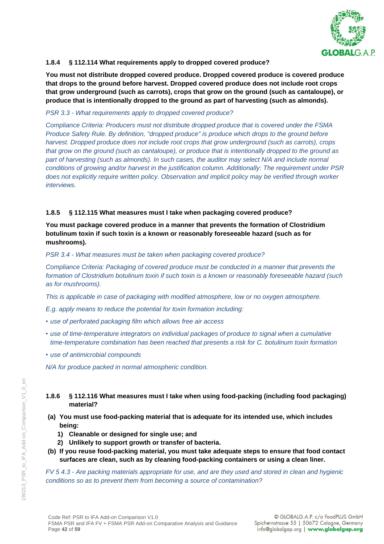

### **1.8.4 § 112.114 What requirements apply to dropped covered produce?**

**You must not distribute dropped covered produce. Dropped covered produce is covered produce that drops to the ground before harvest. Dropped covered produce does not include root crops that grow underground (such as carrots), crops that grow on the ground (such as cantaloupe), or produce that is intentionally dropped to the ground as part of harvesting (such as almonds).**

#### *PSR 3.3 - What requirements apply to dropped covered produce?*

*Compliance Criteria: Producers must not distribute dropped produce that is covered under the FSMA Produce Safety Rule. By definition, "dropped produce" is produce which drops to the ground before harvest. Dropped produce does not include root crops that grow underground (such as carrots), crops that grow on the ground (such as cantaloupe), or produce that is intentionally dropped to the ground as part of harvesting (such as almonds). In such cases, the auditor may select N/A and include normal conditions of growing and/or harvest in the justification column. Additionally: The requirement under PSR does not explicitly require written policy. Observation and implicit policy may be verified through worker interviews.*

### **1.8.5 § 112.115 What measures must I take when packaging covered produce?**

**You must package covered produce in a manner that prevents the formation of Clostridium botulinum toxin if such toxin is a known or reasonably foreseeable hazard (such as for mushrooms).**

*PSR 3.4 - What measures must be taken when packaging covered produce?*

*Compliance Criteria: Packaging of covered produce must be conducted in a manner that prevents the formation of Clostridium botulinum toxin if such toxin is a known or reasonably foreseeable hazard (such as for mushrooms).*

*This is applicable in case of packaging with modified atmosphere, low or no oxygen atmosphere.* 

*E.g. apply means to reduce the potential for toxin formation including:*

- *• use of perforated packaging film which allows free air access*
- *• use of time-temperature integrators on individual packages of produce to signal when a cumulative time-temperature combination has been reached that presents a risk for C. botulinum toxin formation*
- *• use of antimicrobial compounds*

*N/A for produce packed in normal atmospheric condition.*

- **1.8.6 § 112.116 What measures must I take when using food-packing (including food packaging) material?**
- **(a) You must use food-packing material that is adequate for its intended use, which includes being:**
	- **1) Cleanable or designed for single use; and**
	- **2) Unlikely to support growth or transfer of bacteria.**
- **(b) If you reuse food-packing material, you must take adequate steps to ensure that food contact surfaces are clean, such as by cleaning food-packing containers or using a clean liner.**

*FV 5 4.3 - Are packing materials appropriate for use, and are they used and stored in clean and hygienic conditions so as to prevent them from becoming a source of contamination?*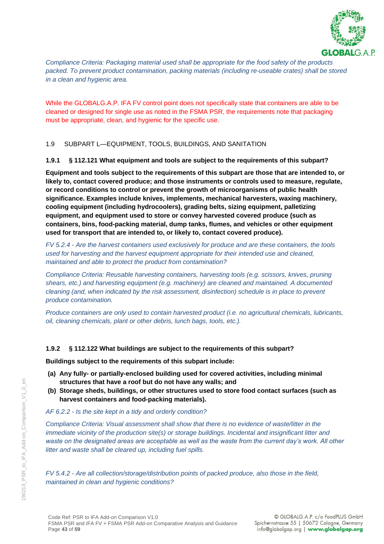

*Compliance Criteria: Packaging material used shall be appropriate for the food safety of the products packed. To prevent product contamination, packing materials (including re-useable crates) shall be stored in a clean and hygienic area.*

While the GLOBALG.A.P. IFA FV control point does not specifically state that containers are able to be cleaned or designed for single use as noted in the FSMA PSR, the requirements note that packaging must be appropriate, clean, and hygienic for the specific use.

1.9 SUBPART L—EQUIPMENT, TOOLS, BUILDINGS, AND SANITATION

**1.9.1 § 112.121 What equipment and tools are subject to the requirements of this subpart?**

**Equipment and tools subject to the requirements of this subpart are those that are intended to, or likely to, contact covered produce; and those instruments or controls used to measure, regulate, or record conditions to control or prevent the growth of microorganisms of public health significance. Examples include knives, implements, mechanical harvesters, waxing machinery, cooling equipment (including hydrocoolers), grading belts, sizing equipment, palletizing equipment, and equipment used to store or convey harvested covered produce (such as containers, bins, food-packing material, dump tanks, flumes, and vehicles or other equipment used for transport that are intended to, or likely to, contact covered produce).**

*FV 5.2.4 - Are the harvest containers used exclusively for produce and are these containers, the tools used for harvesting and the harvest equipment appropriate for their intended use and cleaned, maintained and able to protect the product from contamination?*

*Compliance Criteria: Reusable harvesting containers, harvesting tools (e.g. scissors, knives, pruning shears, etc.) and harvesting equipment (e.g. machinery) are cleaned and maintained. A documented cleaning (and, when indicated by the risk assessment, disinfection) schedule is in place to prevent produce contamination.*

*Produce containers are only used to contain harvested product (i.e. no agricultural chemicals, lubricants, oil, cleaning chemicals, plant or other debris, lunch bags, tools, etc.).*

### **1.9.2 § 112.122 What buildings are subject to the requirements of this subpart?**

**Buildings subject to the requirements of this subpart include:**

- **(a) Any fully- or partially-enclosed building used for covered activities, including minimal structures that have a roof but do not have any walls; and**
- **(b) Storage sheds, buildings, or other structures used to store food contact surfaces (such as harvest containers and food-packing materials).**

#### *AF 6.2.2 - Is the site kept in a tidy and orderly condition?*

*Compliance Criteria: Visual assessment shall show that there is no evidence of waste/litter in the immediate vicinity of the production site(s) or storage buildings. Incidental and insignificant litter and waste on the designated areas are acceptable as well as the waste from the current day's work. All other litter and waste shall be cleared up, including fuel spills.*

*FV 5.4.2 - Are all collection/storage/distribution points of packed produce, also those in the field, maintained in clean and hygienic conditions?*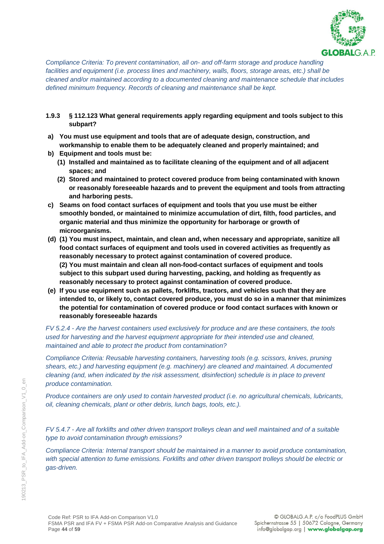

*Compliance Criteria: To prevent contamination, all on- and off-farm storage and produce handling facilities and equipment (i.e. process lines and machinery, walls, floors, storage areas, etc.) shall be cleaned and/or maintained according to a documented cleaning and maintenance schedule that includes defined minimum frequency. Records of cleaning and maintenance shall be kept.*

- **1.9.3 § 112.123 What general requirements apply regarding equipment and tools subject to this subpart?**
- **a) You must use equipment and tools that are of adequate design, construction, and workmanship to enable them to be adequately cleaned and properly maintained; and**
- **b) Equipment and tools must be:**
	- **(1) Installed and maintained as to facilitate cleaning of the equipment and of all adjacent spaces; and**
	- **(2) Stored and maintained to protect covered produce from being contaminated with known or reasonably foreseeable hazards and to prevent the equipment and tools from attracting and harboring pests.**
- **c) Seams on food contact surfaces of equipment and tools that you use must be either smoothly bonded, or maintained to minimize accumulation of dirt, filth, food particles, and organic material and thus minimize the opportunity for harborage or growth of microorganisms.**
- **(d) (1) You must inspect, maintain, and clean and, when necessary and appropriate, sanitize all food contact surfaces of equipment and tools used in covered activities as frequently as reasonably necessary to protect against contamination of covered produce. (2) You must maintain and clean all non-food-contact surfaces of equipment and tools subject to this subpart used during harvesting, packing, and holding as frequently as reasonably necessary to protect against contamination of covered produce.**
- **(e) If you use equipment such as pallets, forklifts, tractors, and vehicles such that they are intended to, or likely to, contact covered produce, you must do so in a manner that minimizes the potential for contamination of covered produce or food contact surfaces with known or reasonably foreseeable hazards**

*FV 5.2.4 - Are the harvest containers used exclusively for produce and are these containers, the tools used for harvesting and the harvest equipment appropriate for their intended use and cleaned, maintained and able to protect the product from contamination?*

*Compliance Criteria: Reusable harvesting containers, harvesting tools (e.g. scissors, knives, pruning shears, etc.) and harvesting equipment (e.g. machinery) are cleaned and maintained. A documented cleaning (and, when indicated by the risk assessment, disinfection) schedule is in place to prevent produce contamination.*

*Produce containers are only used to contain harvested product (i.e. no agricultural chemicals, lubricants, oil, cleaning chemicals, plant or other debris, lunch bags, tools, etc.).*

*FV 5.4.7 - Are all forklifts and other driven transport trolleys clean and well maintained and of a suitable type to avoid contamination through emissions?*

*Compliance Criteria: Internal transport should be maintained in a manner to avoid produce contamination, with special attention to fume emissions. Forklifts and other driven transport trolleys should be electric or gas-driven.*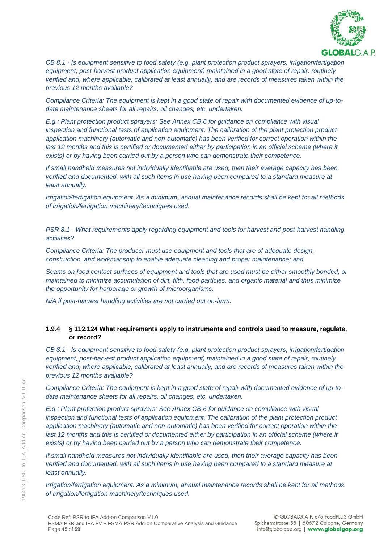

*CB 8.1 - Is equipment sensitive to food safety (e.g. plant protection product sprayers, irrigation/fertigation equipment, post-harvest product application equipment) maintained in a good state of repair, routinely verified and, where applicable, calibrated at least annually, and are records of measures taken within the previous 12 months available?*

*Compliance Criteria: The equipment is kept in a good state of repair with documented evidence of up-todate maintenance sheets for all repairs, oil changes, etc. undertaken.*

*E.g.: Plant protection product sprayers: See Annex CB.6 for guidance on compliance with visual inspection and functional tests of application equipment. The calibration of the plant protection product application machinery (automatic and non-automatic) has been verified for correct operation within the*  last 12 months and this is certified or documented either by participation in an official scheme (where it *exists) or by having been carried out by a person who can demonstrate their competence.*

*If small handheld measures not individually identifiable are used, then their average capacity has been verified and documented, with all such items in use having been compared to a standard measure at least annually.*

*Irrigation/fertigation equipment: As a minimum, annual maintenance records shall be kept for all methods of irrigation/fertigation machinery/techniques used.*

*PSR 8.1 - What requirements apply regarding equipment and tools for harvest and post-harvest handling activities?*

*Compliance Criteria: The producer must use equipment and tools that are of adequate design, construction, and workmanship to enable adequate cleaning and proper maintenance; and*

*Seams on food contact surfaces of equipment and tools that are used must be either smoothly bonded, or maintained to minimize accumulation of dirt, filth, food particles, and organic material and thus minimize the opportunity for harborage or growth of microorganisms.*

*N/A if post-harvest handling activities are not carried out on-farm.*

#### **1.9.4 § 112.124 What requirements apply to instruments and controls used to measure, regulate, or record?**

*CB 8.1 - Is equipment sensitive to food safety (e.g. plant protection product sprayers, irrigation/fertigation equipment, post-harvest product application equipment) maintained in a good state of repair, routinely verified and, where applicable, calibrated at least annually, and are records of measures taken within the previous 12 months available?*

*Compliance Criteria: The equipment is kept in a good state of repair with documented evidence of up-todate maintenance sheets for all repairs, oil changes, etc. undertaken.*

*E.g.: Plant protection product sprayers: See Annex CB.6 for guidance on compliance with visual inspection and functional tests of application equipment. The calibration of the plant protection product application machinery (automatic and non-automatic) has been verified for correct operation within the*  last 12 months and this is certified or documented either by participation in an official scheme (where it *exists) or by having been carried out by a person who can demonstrate their competence.*

*If small handheld measures not individually identifiable are used, then their average capacity has been verified and documented, with all such items in use having been compared to a standard measure at least annually.*

*Irrigation/fertigation equipment: As a minimum, annual maintenance records shall be kept for all methods of irrigation/fertigation machinery/techniques used.*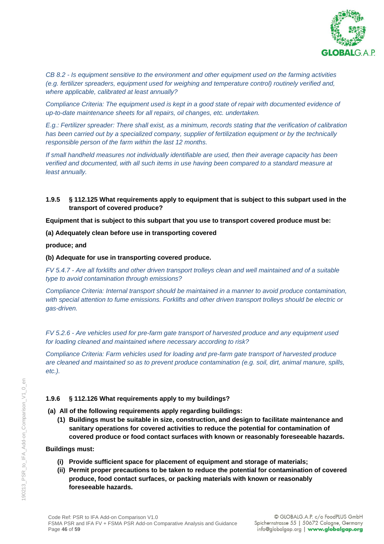

*CB 8.2 - Is equipment sensitive to the environment and other equipment used on the farming activities (e.g. fertilizer spreaders, equipment used for weighing and temperature control) routinely verified and, where applicable, calibrated at least annually?*

*Compliance Criteria: The equipment used is kept in a good state of repair with documented evidence of up-to-date maintenance sheets for all repairs, oil changes, etc. undertaken.*

*E.g.: Fertilizer spreader: There shall exist, as a minimum, records stating that the verification of calibration has been carried out by a specialized company, supplier of fertilization equipment or by the technically responsible person of the farm within the last 12 months.*

*If small handheld measures not individually identifiable are used, then their average capacity has been verified and documented, with all such items in use having been compared to a standard measure at least annually.*

### **1.9.5 § 112.125 What requirements apply to equipment that is subject to this subpart used in the transport of covered produce?**

**Equipment that is subject to this subpart that you use to transport covered produce must be:**

**(a) Adequately clean before use in transporting covered**

**produce; and**

#### **(b) Adequate for use in transporting covered produce.**

*FV 5.4.7 - Are all forklifts and other driven transport trolleys clean and well maintained and of a suitable type to avoid contamination through emissions?*

*Compliance Criteria: Internal transport should be maintained in a manner to avoid produce contamination, with special attention to fume emissions. Forklifts and other driven transport trolleys should be electric or gas-driven.*

*FV 5.2.6 - Are vehicles used for pre-farm gate transport of harvested produce and any equipment used for loading cleaned and maintained where necessary according to risk?*

*Compliance Criteria: Farm vehicles used for loading and pre-farm gate transport of harvested produce are cleaned and maintained so as to prevent produce contamination (e.g. soil, dirt, animal manure, spills, etc.).*

#### **1.9.6 § 112.126 What requirements apply to my buildings?**

**(a) All of the following requirements apply regarding buildings:**

**(1) Buildings must be suitable in size, construction, and design to facilitate maintenance and sanitary operations for covered activities to reduce the potential for contamination of covered produce or food contact surfaces with known or reasonably foreseeable hazards.**

#### **Buildings must:**

- **(i) Provide sufficient space for placement of equipment and storage of materials;**
- **(ii) Permit proper precautions to be taken to reduce the potential for contamination of covered produce, food contact surfaces, or packing materials with known or reasonably foreseeable hazards.**

 $\overleftarrow{\Theta}$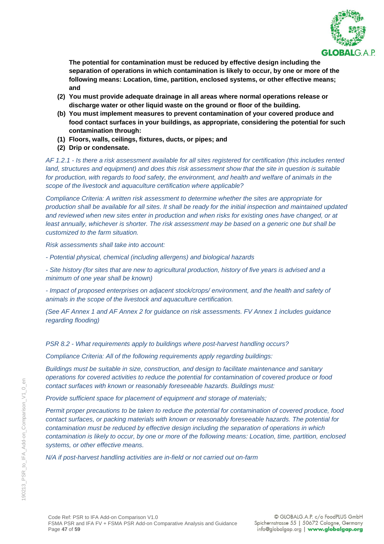

**The potential for contamination must be reduced by effective design including the separation of operations in which contamination is likely to occur, by one or more of the following means: Location, time, partition, enclosed systems, or other effective means; and**

- **(2) You must provide adequate drainage in all areas where normal operations release or discharge water or other liquid waste on the ground or floor of the building.**
- **(b) You must implement measures to prevent contamination of your covered produce and food contact surfaces in your buildings, as appropriate, considering the potential for such contamination through:**
- **(1) Floors, walls, ceilings, fixtures, ducts, or pipes; and**
- **(2) Drip or condensate.**

*AF 1.2.1 - Is there a risk assessment available for all sites registered for certification (this includes rented land, structures and equipment) and does this risk assessment show that the site in question is suitable for production, with regards to food safety, the environment, and health and welfare of animals in the scope of the livestock and aquaculture certification where applicable?*

*Compliance Criteria: A written risk assessment to determine whether the sites are appropriate for production shall be available for all sites. It shall be ready for the initial inspection and maintained updated and reviewed when new sites enter in production and when risks for existing ones have changed, or at least annually, whichever is shorter. The risk assessment may be based on a generic one but shall be customized to the farm situation.*

*Risk assessments shall take into account:*

*- Potential physical, chemical (including allergens) and biological hazards*

*- Site history (for sites that are new to agricultural production, history of five years is advised and a minimum of one year shall be known)*

*- Impact of proposed enterprises on adjacent stock/crops/ environment, and the health and safety of animals in the scope of the livestock and aquaculture certification.*

*(See AF Annex 1 and AF Annex 2 for guidance on risk assessments. FV Annex 1 includes guidance regarding flooding)*

*PSR 8.2 - What requirements apply to buildings where post-harvest handling occurs?*

*Compliance Criteria: All of the following requirements apply regarding buildings:*

*Buildings must be suitable in size, construction, and design to facilitate maintenance and sanitary operations for covered activities to reduce the potential for contamination of covered produce or food contact surfaces with known or reasonably foreseeable hazards. Buildings must:* 

*Provide sufficient space for placement of equipment and storage of materials;* 

*Permit proper precautions to be taken to reduce the potential for contamination of covered produce, food contact surfaces, or packing materials with known or reasonably foreseeable hazards. The potential for contamination must be reduced by effective design including the separation of operations in which contamination is likely to occur, by one or more of the following means: Location, time, partition, enclosed systems, or other effective means.*

*N/A if post-harvest handling activities are in-field or not carried out on-farm*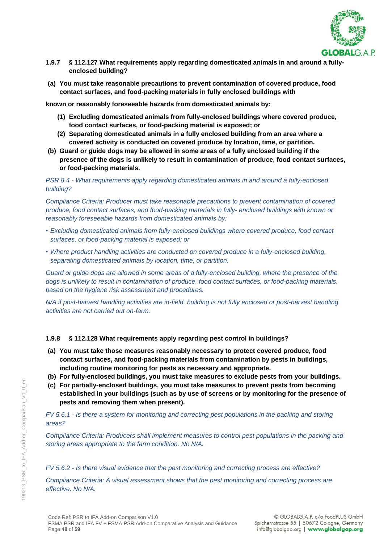

- **1.9.7 § 112.127 What requirements apply regarding domesticated animals in and around a fullyenclosed building?**
- **(a) You must take reasonable precautions to prevent contamination of covered produce, food contact surfaces, and food-packing materials in fully enclosed buildings with**

**known or reasonably foreseeable hazards from domesticated animals by:**

- **(1) Excluding domesticated animals from fully-enclosed buildings where covered produce, food contact surfaces, or food-packing material is exposed; or**
- **(2) Separating domesticated animals in a fully enclosed building from an area where a covered activity is conducted on covered produce by location, time, or partition.**
- **(b) Guard or guide dogs may be allowed in some areas of a fully enclosed building if the presence of the dogs is unlikely to result in contamination of produce, food contact surfaces, or food-packing materials.**

*PSR 8.4 - What requirements apply regarding domesticated animals in and around a fully-enclosed building?*

*Compliance Criteria: Producer must take reasonable precautions to prevent contamination of covered produce, food contact surfaces, and food-packing materials in fully- enclosed buildings with known or reasonably foreseeable hazards from domesticated animals by:*

- *• Excluding domesticated animals from fully-enclosed buildings where covered produce, food contact surfaces, or food-packing material is exposed; or*
- *• Where product handling activities are conducted on covered produce in a fully-enclosed building, separating domesticated animals by location, time, or partition.*

*Guard or guide dogs are allowed in some areas of a fully-enclosed building, where the presence of the dogs is unlikely to result in contamination of produce, food contact surfaces, or food-packing materials, based on the hygiene risk assessment and procedures.*

*N/A if post-harvest handling activities are in-field, building is not fully enclosed or post-harvest handling activities are not carried out on-farm.*

#### **1.9.8 § 112.128 What requirements apply regarding pest control in buildings?**

- **(a) You must take those measures reasonably necessary to protect covered produce, food contact surfaces, and food-packing materials from contamination by pests in buildings, including routine monitoring for pests as necessary and appropriate.**
- **(b) For fully-enclosed buildings, you must take measures to exclude pests from your buildings.**
- **(c) For partially-enclosed buildings, you must take measures to prevent pests from becoming established in your buildings (such as by use of screens or by monitoring for the presence of pests and removing them when present).**

*FV 5.6.1 - Is there a system for monitoring and correcting pest populations in the packing and storing areas?*

*Compliance Criteria: Producers shall implement measures to control pest populations in the packing and storing areas appropriate to the farm condition. No N/A.*

*FV 5.6.2 - Is there visual evidence that the pest monitoring and correcting process are effective?*

*Compliance Criteria: A visual assessment shows that the pest monitoring and correcting process are effective. No N/A.*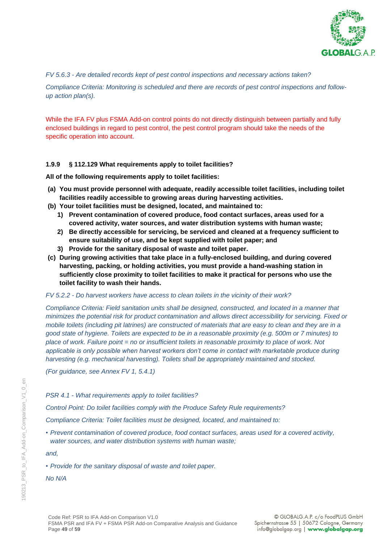

*FV 5.6.3 - Are detailed records kept of pest control inspections and necessary actions taken?*

*Compliance Criteria: Monitoring is scheduled and there are records of pest control inspections and followup action plan(s).*

While the IFA FV plus FSMA Add-on control points do not directly distinguish between partially and fully enclosed buildings in regard to pest control, the pest control program should take the needs of the specific operation into account.

#### **1.9.9 § 112.129 What requirements apply to toilet facilities?**

**All of the following requirements apply to toilet facilities:**

- **(a) You must provide personnel with adequate, readily accessible toilet facilities, including toilet facilities readily accessible to growing areas during harvesting activities.**
- **(b) Your toilet facilities must be designed, located, and maintained to:**
	- **1) Prevent contamination of covered produce, food contact surfaces, areas used for a covered activity, water sources, and water distribution systems with human waste;**
	- **2) Be directly accessible for servicing, be serviced and cleaned at a frequency sufficient to ensure suitability of use, and be kept supplied with toilet paper; and**
	- **3) Provide for the sanitary disposal of waste and toilet paper.**
- **(c) During growing activities that take place in a fully-enclosed building, and during covered harvesting, packing, or holding activities, you must provide a hand-washing station in sufficiently close proximity to toilet facilities to make it practical for persons who use the toilet facility to wash their hands.**

#### *FV 5.2.2 - Do harvest workers have access to clean toilets in the vicinity of their work?*

*Compliance Criteria: Field sanitation units shall be designed, constructed, and located in a manner that minimizes the potential risk for product contamination and allows direct accessibility for servicing. Fixed or mobile toilets (including pit latrines) are constructed of materials that are easy to clean and they are in a good state of hygiene. Toilets are expected to be in a reasonable proximity (e.g. 500m or 7 minutes) to place of work. Failure point = no or insufficient toilets in reasonable proximity to place of work. Not applicable is only possible when harvest workers don't come in contact with marketable produce during harvesting (e.g. mechanical harvesting). Toilets shall be appropriately maintained and stocked.* 

*(For guidance, see Annex FV 1, 5.4.1)*

#### *PSR 4.1 - What requirements apply to toilet facilities?*

*Control Point: Do toilet facilities comply with the Produce Safety Rule requirements?*

*Compliance Criteria: Toilet facilities must be designed, located, and maintained to:*

*• Prevent contamination of covered produce, food contact surfaces, areas used for a covered activity, water sources, and water distribution systems with human waste;*

*and,*

*• Provide for the sanitary disposal of waste and toilet paper.*

*No N/A*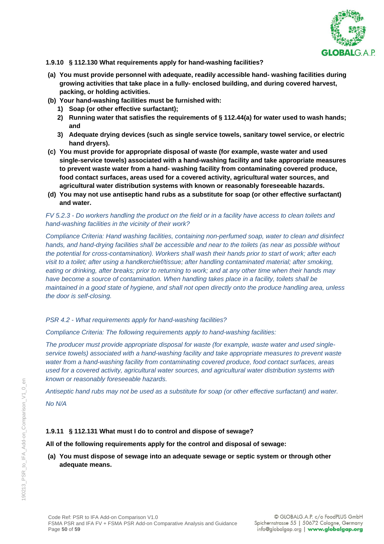

#### **1.9.10 § 112.130 What requirements apply for hand-washing facilities?**

- **(a) You must provide personnel with adequate, readily accessible hand- washing facilities during growing activities that take place in a fully- enclosed building, and during covered harvest, packing, or holding activities.**
- **(b) Your hand-washing facilities must be furnished with:**
	- **1) Soap (or other effective surfactant);**
	- **2) Running water that satisfies the requirements of § 112.44(a) for water used to wash hands; and**
	- **3) Adequate drying devices (such as single service towels, sanitary towel service, or electric hand dryers).**
- **(c) You must provide for appropriate disposal of waste (for example, waste water and used single-service towels) associated with a hand-washing facility and take appropriate measures to prevent waste water from a hand- washing facility from contaminating covered produce, food contact surfaces, areas used for a covered activity, agricultural water sources, and agricultural water distribution systems with known or reasonably foreseeable hazards.**
- **(d) You may not use antiseptic hand rubs as a substitute for soap (or other effective surfactant) and water.**

### *FV 5.2.3 - Do workers handling the product on the field or in a facility have access to clean toilets and hand-washing facilities in the vicinity of their work?*

*Compliance Criteria: Hand washing facilities, containing non-perfumed soap, water to clean and disinfect hands, and hand-drying facilities shall be accessible and near to the toilets (as near as possible without the potential for cross-contamination). Workers shall wash their hands prior to start of work; after each visit to a toilet; after using a handkerchief/tissue; after handling contaminated material; after smoking, eating or drinking, after breaks; prior to returning to work; and at any other time when their hands may have become a source of contamination. When handling takes place in a facility, toilets shall be maintained in a good state of hygiene, and shall not open directly onto the produce handling area, unless the door is self-closing.*

#### *PSR 4.2 - What requirements apply for hand-washing facilities?*

*Compliance Criteria: The following requirements apply to hand-washing facilities:*

*The producer must provide appropriate disposal for waste (for example, waste water and used singleservice towels) associated with a hand-washing facility and take appropriate measures to prevent waste water from a hand-washing facility from contaminating covered produce, food contact surfaces, areas used for a covered activity, agricultural water sources, and agricultural water distribution systems with known or reasonably foreseeable hazards.*

*Antiseptic hand rubs may not be used as a substitute for soap (or other effective surfactant) and water. No N/A*

### **1.9.11 § 112.131 What must I do to control and dispose of sewage?**

### **All of the following requirements apply for the control and disposal of sewage:**

**(a) You must dispose of sewage into an adequate sewage or septic system or through other adequate means.**

 $\infty$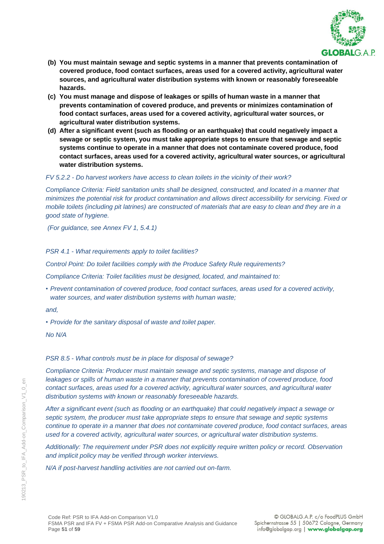

- **(b) You must maintain sewage and septic systems in a manner that prevents contamination of covered produce, food contact surfaces, areas used for a covered activity, agricultural water sources, and agricultural water distribution systems with known or reasonably foreseeable hazards.**
- **(c) You must manage and dispose of leakages or spills of human waste in a manner that prevents contamination of covered produce, and prevents or minimizes contamination of food contact surfaces, areas used for a covered activity, agricultural water sources, or agricultural water distribution systems.**
- **(d) After a significant event (such as flooding or an earthquake) that could negatively impact a sewage or septic system, you must take appropriate steps to ensure that sewage and septic systems continue to operate in a manner that does not contaminate covered produce, food contact surfaces, areas used for a covered activity, agricultural water sources, or agricultural water distribution systems.**

### *FV 5.2.2 - Do harvest workers have access to clean toilets in the vicinity of their work?*

*Compliance Criteria: Field sanitation units shall be designed, constructed, and located in a manner that minimizes the potential risk for product contamination and allows direct accessibility for servicing. Fixed or mobile toilets (including pit latrines) are constructed of materials that are easy to clean and they are in a good state of hygiene.* 

*(For guidance, see Annex FV 1, 5.4.1)*

#### *PSR 4.1 - What requirements apply to toilet facilities?*

*Control Point: Do toilet facilities comply with the Produce Safety Rule requirements?*

*Compliance Criteria: Toilet facilities must be designed, located, and maintained to:*

*• Prevent contamination of covered produce, food contact surfaces, areas used for a covered activity, water sources, and water distribution systems with human waste;*

*and,*

*• Provide for the sanitary disposal of waste and toilet paper.*

*No N/A*

### *PSR 8.5 - What controls must be in place for disposal of sewage?*

*Compliance Criteria: Producer must maintain sewage and septic systems, manage and dispose of leakages or spills of human waste in a manner that prevents contamination of covered produce, food contact surfaces, areas used for a covered activity, agricultural water sources, and agricultural water distribution systems with known or reasonably foreseeable hazards.*

*After a significant event (such as flooding or an earthquake) that could negatively impact a sewage or septic system, the producer must take appropriate steps to ensure that sewage and septic systems continue to operate in a manner that does not contaminate covered produce, food contact surfaces, areas used for a covered activity, agricultural water sources, or agricultural water distribution systems.*

*Additionally: The requirement under PSR does not explicitly require written policy or record. Observation and implicit policy may be verified through worker interviews.*

*N/A if post-harvest handling activities are not carried out on-farm.*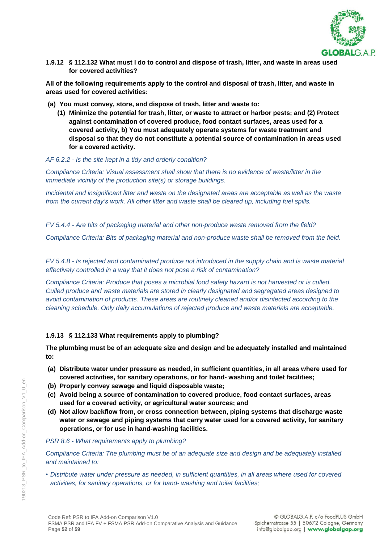

**1.9.12 § 112.132 What must I do to control and dispose of trash, litter, and waste in areas used for covered activities?**

**All of the following requirements apply to the control and disposal of trash, litter, and waste in areas used for covered activities:**

- **(a) You must convey, store, and dispose of trash, litter and waste to:**
	- **(1) Minimize the potential for trash, litter, or waste to attract or harbor pests; and (2) Protect against contamination of covered produce, food contact surfaces, areas used for a covered activity, b) You must adequately operate systems for waste treatment and disposal so that they do not constitute a potential source of contamination in areas used for a covered activity.**

#### *AF 6.2.2 - Is the site kept in a tidy and orderly condition?*

*Compliance Criteria: Visual assessment shall show that there is no evidence of waste/litter in the immediate vicinity of the production site(s) or storage buildings.* 

*Incidental and insignificant litter and waste on the designated areas are acceptable as well as the waste from the current day's work. All other litter and waste shall be cleared up, including fuel spills.*

*FV 5.4.4 - Are bits of packaging material and other non-produce waste removed from the field?*

*Compliance Criteria: Bits of packaging material and non-produce waste shall be removed from the field.*

*FV 5.4.8 - Is rejected and contaminated produce not introduced in the supply chain and is waste material effectively controlled in a way that it does not pose a risk of contamination?*

*Compliance Criteria: Produce that poses a microbial food safety hazard is not harvested or is culled. Culled produce and waste materials are stored in clearly designated and segregated areas designed to avoid contamination of products. These areas are routinely cleaned and/or disinfected according to the cleaning schedule. Only daily accumulations of rejected produce and waste materials are acceptable.*

### **1.9.13 § 112.133 What requirements apply to plumbing?**

**The plumbing must be of an adequate size and design and be adequately installed and maintained to:**

- **(a) Distribute water under pressure as needed, in sufficient quantities, in all areas where used for covered activities, for sanitary operations, or for hand- washing and toilet facilities;**
- **(b) Properly convey sewage and liquid disposable waste;**
- **(c) Avoid being a source of contamination to covered produce, food contact surfaces, areas used for a covered activity, or agricultural water sources; and**
- **(d) Not allow backflow from, or cross connection between, piping systems that discharge waste water or sewage and piping systems that carry water used for a covered activity, for sanitary operations, or for use in hand-washing facilities.**

#### *PSR 8.6 - What requirements apply to plumbing?*

*Compliance Criteria: The plumbing must be of an adequate size and design and be adequately installed and maintained to:*

*• Distribute water under pressure as needed, in sufficient quantities, in all areas where used for covered activities, for sanitary operations, or for hand- washing and toilet facilities;*

 $\epsilon$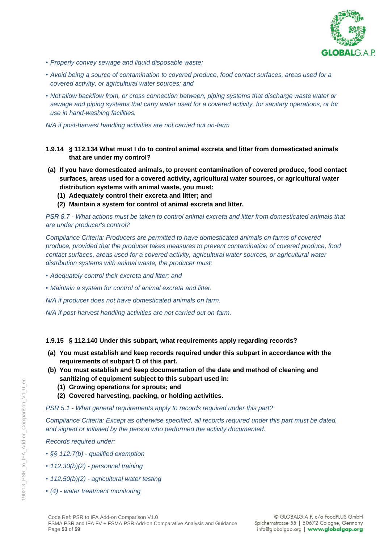

- *• Properly convey sewage and liquid disposable waste;*
- *• Avoid being a source of contamination to covered produce, food contact surfaces, areas used for a covered activity, or agricultural water sources; and*
- *• Not allow backflow from, or cross connection between, piping systems that discharge waste water or sewage and piping systems that carry water used for a covered activity, for sanitary operations, or for use in hand-washing facilities.*

*N/A if post-harvest handling activities are not carried out on-farm*

- **1.9.14 § 112.134 What must I do to control animal excreta and litter from domesticated animals that are under my control?**
- **(a) If you have domesticated animals, to prevent contamination of covered produce, food contact surfaces, areas used for a covered activity, agricultural water sources, or agricultural water distribution systems with animal waste, you must:**
	- **(1) Adequately control their excreta and litter; and**
	- **(2) Maintain a system for control of animal excreta and litter.**

*PSR 8.7 - What actions must be taken to control animal excreta and litter from domesticated animals that are under producer's control?*

*Compliance Criteria: Producers are permitted to have domesticated animals on farms of covered produce, provided that the producer takes measures to prevent contamination of covered produce, food contact surfaces, areas used for a covered activity, agricultural water sources, or agricultural water distribution systems with animal waste, the producer must:*

- *• Adequately control their excreta and litter; and*
- *• Maintain a system for control of animal excreta and litter.*

*N/A if producer does not have domesticated animals on farm.*

*N/A if post-harvest handling activities are not carried out on-farm.*

#### **1.9.15 § 112.140 Under this subpart, what requirements apply regarding records?**

- **(a) You must establish and keep records required under this subpart in accordance with the requirements of subpart O of this part.**
- **(b) You must establish and keep documentation of the date and method of cleaning and sanitizing of equipment subject to this subpart used in:**
	- **(1) Growing operations for sprouts; and**
	- **(2) Covered harvesting, packing, or holding activities.**

*PSR 5.1 - What general requirements apply to records required under this part?*

*Compliance Criteria: Except as otherwise specified, all records required under this part must be dated, and signed or initialed by the person who performed the activity documented.*

*Records required under:*

- *• §§ 112.7(b) - qualified exemption*
- *• 112.30(b)(2) - personnel training*
- *• 112.50(b)(2) - agricultural water testing*
- *• (4) - water treatment monitoring*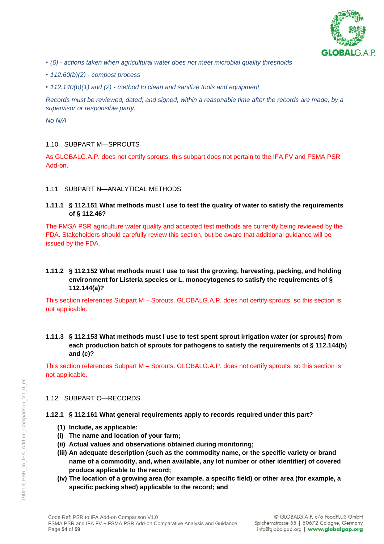

- *• (6) - actions taken when agricultural water does not meet microbial quality thresholds*
- *• 112.60(b)(2) - compost process*
- *• 112.140(b)(1) and (2) - method to clean and sanitize tools and equipment*

*Records must be reviewed, dated, and signed, within a reasonable time after the records are made, by a supervisor or responsible party.*

*No N/A*

### 1.10 SUBPART M—SPROUTS

As GLOBALG.A.P. does not certify sprouts, this subpart does not pertain to the IFA FV and FSMA PSR Add-on.

### 1.11 SUBPART N—ANALYTICAL METHODS

**1.11.1 § 112.151 What methods must I use to test the quality of water to satisfy the requirements of § 112.46?**

The FMSA PSR agriculture water quality and accepted test methods are currently being reviewed by the FDA. Stakeholders should carefully review this section, but be aware that additional guidance will be issued by the FDA.

### **1.11.2 § 112.152 What methods must I use to test the growing, harvesting, packing, and holding environment for Listeria species or L. monocytogenes to satisfy the requirements of § 112.144(a)?**

This section references Subpart M – Sprouts. GLOBALG.A.P. does not certify sprouts, so this section is not applicable.

**1.11.3 § 112.153 What methods must I use to test spent sprout irrigation water (or sprouts) from each production batch of sprouts for pathogens to satisfy the requirements of § 112.144(b) and (c)?**

This section references Subpart M – Sprouts. GLOBALG.A.P. does not certify sprouts, so this section is not applicable.

#### 1.12 SUBPART O—RECORDS

#### **1.12.1 § 112.161 What general requirements apply to records required under this part?**

- **(1) Include, as applicable:**
- **(i) The name and location of your farm;**
- **(ii) Actual values and observations obtained during monitoring;**
- **(iii) An adequate description (such as the commodity name, or the specific variety or brand name of a commodity, and, when available, any lot number or other identifier) of covered produce applicable to the record;**
- **(iv) The location of a growing area (for example, a specific field) or other area (for example, a specific packing shed) applicable to the record; and**

 $\infty$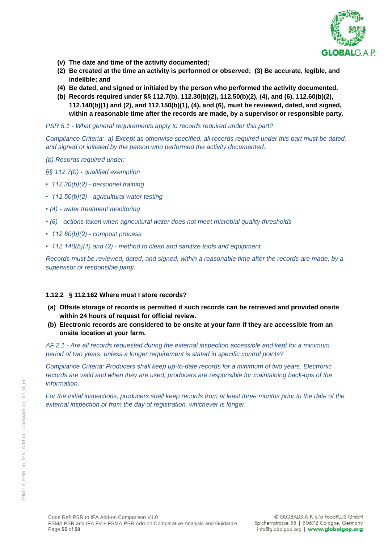

- **(v) The date and time of the activity documented;**
- **(2) Be created at the time an activity is performed or observed; (3) Be accurate, legible, and indelible; and**
- **(4) Be dated, and signed or initialed by the person who performed the activity documented.**
- **(b) Records required under §§ 112.7(b), 112.30(b)(2), 112.50(b)(2), (4), and (6), 112.60(b)(2), 112.140(b)(1) and (2), and 112.150(b)(1), (4), and (6), must be reviewed, dated, and signed, within a reasonable time after the records are made, by a supervisor or responsible party.**

*PSR 5.1 - What general requirements apply to records required under this part?*

*Compliance Criteria: a) Except as otherwise specified, all records required under this part must be dated, and signed or initialed by the person who performed the activity documented.*

- *(b) Records required under:*
- *§§ 112.7(b) - qualified exemption*
- *112.30(b)(2) - personnel training*
- *112.50(b)(2) - agricultural water testing*
- *(4) - water treatment monitoring*
- *(6) - actions taken when agricultural water does not meet microbial quality thresholds*
- *112.60(b)(2) - compost process*
- *112.140(b)(1) and (2) - method to clean and sanitize tools and equipment*

*Records must be reviewed, dated, and signed, within a reasonable time after the records are made, by a supervisor or responsible party.*

### **1.12.2 § 112.162 Where must I store records?**

- **(a) Offsite storage of records is permitted if such records can be retrieved and provided onsite within 24 hours of request for official review.**
- **(b) Electronic records are considered to be onsite at your farm if they are accessible from an onsite location at your farm.**

*AF 2.1 - Are all records requested during the external inspection accessible and kept for a minimum period of two years, unless a longer requirement is stated in specific control points?*

*Compliance Criteria: Producers shall keep up-to-date records for a minimum of two years. Electronic records are valid and when they are used, producers are responsible for maintaining back-ups of the information.*

*For the initial inspections, producers shall keep records from at least three months prior to the date of the external inspection or from the day of registration, whichever is longer.* 

 $\epsilon$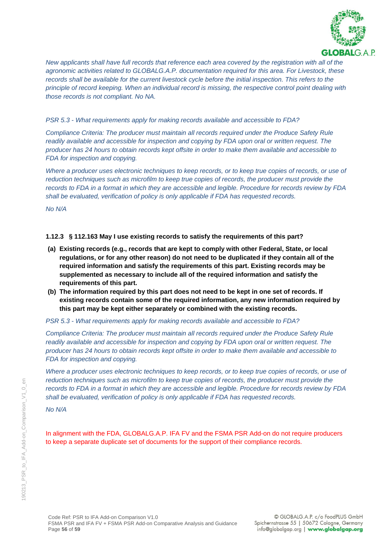

*New applicants shall have full records that reference each area covered by the registration with all of the agronomic activities related to GLOBALG.A.P. documentation required for this area. For Livestock, these records shall be available for the current livestock cycle before the initial inspection. This refers to the principle of record keeping. When an individual record is missing, the respective control point dealing with those records is not compliant. No NA.*

#### *PSR 5.3 - What requirements apply for making records available and accessible to FDA?*

*Compliance Criteria: The producer must maintain all records required under the Produce Safety Rule readily available and accessible for inspection and copying by FDA upon oral or written request. The producer has 24 hours to obtain records kept offsite in order to make them available and accessible to FDA for inspection and copying.*

*Where a producer uses electronic techniques to keep records, or to keep true copies of records, or use of* reduction techniques such as microfilm to keep true copies of records, the producer must provide the *records to FDA in a format in which they are accessible and legible. Procedure for records review by FDA shall be evaluated, verification of policy is only applicable if FDA has requested records.*

*No N/A*

### **1.12.3 § 112.163 May I use existing records to satisfy the requirements of this part?**

- **(a) Existing records (e.g., records that are kept to comply with other Federal, State, or local regulations, or for any other reason) do not need to be duplicated if they contain all of the required information and satisfy the requirements of this part. Existing records may be supplemented as necessary to include all of the required information and satisfy the requirements of this part.**
- **(b) The information required by this part does not need to be kept in one set of records. If existing records contain some of the required information, any new information required by this part may be kept either separately or combined with the existing records.**

#### *PSR 5.3 - What requirements apply for making records available and accessible to FDA?*

*Compliance Criteria: The producer must maintain all records required under the Produce Safety Rule readily available and accessible for inspection and copying by FDA upon oral or written request. The producer has 24 hours to obtain records kept offsite in order to make them available and accessible to FDA for inspection and copying.*

*Where a producer uses electronic techniques to keep records, or to keep true copies of records, or use of reduction techniques such as microfilm to keep true copies of records, the producer must provide the records to FDA in a format in which they are accessible and legible. Procedure for records review by FDA shall be evaluated, verification of policy is only applicable if FDA has requested records.*

*No N/A*

In alignment with the FDA, GLOBALG.A.P. IFA FV and the FSMA PSR Add-on do not require producers to keep a separate duplicate set of documents for the support of their compliance records.

 $\infty$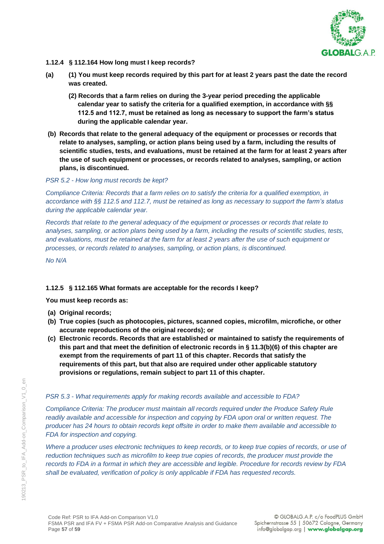

- **1.12.4 § 112.164 How long must I keep records?**
- **(a) (1) You must keep records required by this part for at least 2 years past the date the record was created.**
	- **(2) Records that a farm relies on during the 3-year period preceding the applicable calendar year to satisfy the criteria for a qualified exemption, in accordance with §§ 112.5 and 112.7, must be retained as long as necessary to support the farm's status during the applicable calendar year.**
- **(b) Records that relate to the general adequacy of the equipment or processes or records that relate to analyses, sampling, or action plans being used by a farm, including the results of scientific studies, tests, and evaluations, must be retained at the farm for at least 2 years after the use of such equipment or processes, or records related to analyses, sampling, or action plans, is discontinued.**

*PSR 5.2 - How long must records be kept?*

*Compliance Criteria: Records that a farm relies on to satisfy the criteria for a qualified exemption, in accordance with §§ 112.5 and 112.7, must be retained as long as necessary to support the farm's status during the applicable calendar year.* 

*Records that relate to the general adequacy of the equipment or processes or records that relate to analyses, sampling, or action plans being used by a farm, including the results of scientific studies, tests, and evaluations, must be retained at the farm for at least 2 years after the use of such equipment or processes, or records related to analyses, sampling, or action plans, is discontinued.*

*No N/A*

#### **1.12.5 § 112.165 What formats are acceptable for the records I keep?**

**You must keep records as:**

- **(a) Original records;**
- **(b) True copies (such as photocopies, pictures, scanned copies, microfilm, microfiche, or other accurate reproductions of the original records); or**
- **(c) Electronic records. Records that are established or maintained to satisfy the requirements of this part and that meet the definition of electronic records in § 11.3(b)(6) of this chapter are exempt from the requirements of part 11 of this chapter. Records that satisfy the requirements of this part, but that also are required under other applicable statutory provisions or regulations, remain subject to part 11 of this chapter.**

#### *PSR 5.3 - What requirements apply for making records available and accessible to FDA?*

*Compliance Criteria: The producer must maintain all records required under the Produce Safety Rule readily available and accessible for inspection and copying by FDA upon oral or written request. The producer has 24 hours to obtain records kept offsite in order to make them available and accessible to FDA for inspection and copying.*

*Where a producer uses electronic techniques to keep records, or to keep true copies of records, or use of reduction techniques such as microfilm to keep true copies of records, the producer must provide the records to FDA in a format in which they are accessible and legible. Procedure for records review by FDA shall be evaluated, verification of policy is only applicable if FDA has requested records.*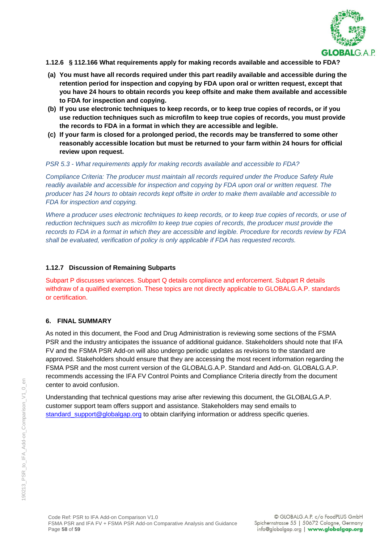

#### **1.12.6 § 112.166 What requirements apply for making records available and accessible to FDA?**

- **(a) You must have all records required under this part readily available and accessible during the retention period for inspection and copying by FDA upon oral or written request, except that you have 24 hours to obtain records you keep offsite and make them available and accessible to FDA for inspection and copying.**
- **(b) If you use electronic techniques to keep records, or to keep true copies of records, or if you use reduction techniques such as microfilm to keep true copies of records, you must provide the records to FDA in a format in which they are accessible and legible.**
- **(c) If your farm is closed for a prolonged period, the records may be transferred to some other reasonably accessible location but must be returned to your farm within 24 hours for official review upon request.**

#### *PSR 5.3 - What requirements apply for making records available and accessible to FDA?*

*Compliance Criteria: The producer must maintain all records required under the Produce Safety Rule readily available and accessible for inspection and copying by FDA upon oral or written request. The producer has 24 hours to obtain records kept offsite in order to make them available and accessible to FDA for inspection and copying.*

*Where a producer uses electronic techniques to keep records, or to keep true copies of records, or use of* reduction techniques such as microfilm to keep true copies of records, the producer must provide the *records to FDA in a format in which they are accessible and legible. Procedure for records review by FDA shall be evaluated, verification of policy is only applicable if FDA has requested records.*

#### **1.12.7 Discussion of Remaining Subparts**

Subpart P discusses variances. Subpart Q details compliance and enforcement. Subpart R details withdraw of a qualified exemption. These topics are not directly applicable to GLOBALG.A.P. standards or certification.

#### **6. FINAL SUMMARY**

As noted in this document, the Food and Drug Administration is reviewing some sections of the FSMA PSR and the industry anticipates the issuance of additional guidance. Stakeholders should note that IFA FV and the FSMA PSR Add-on will also undergo periodic updates as revisions to the standard are approved. Stakeholders should ensure that they are accessing the most recent information regarding the FSMA PSR and the most current version of the GLOBALG.A.P. Standard and Add-on. GLOBALG.A.P. recommends accessing the IFA FV Control Points and Compliance Criteria directly from the document center to avoid confusion.

Understanding that technical questions may arise after reviewing this document, the GLOBALG.A.P. customer support team offers support and assistance. Stakeholders may send emails to [standard\\_support@globalgap.org](mailto:standard_support@globalgap.org) to obtain clarifying information or address specific queries.

 $\epsilon$